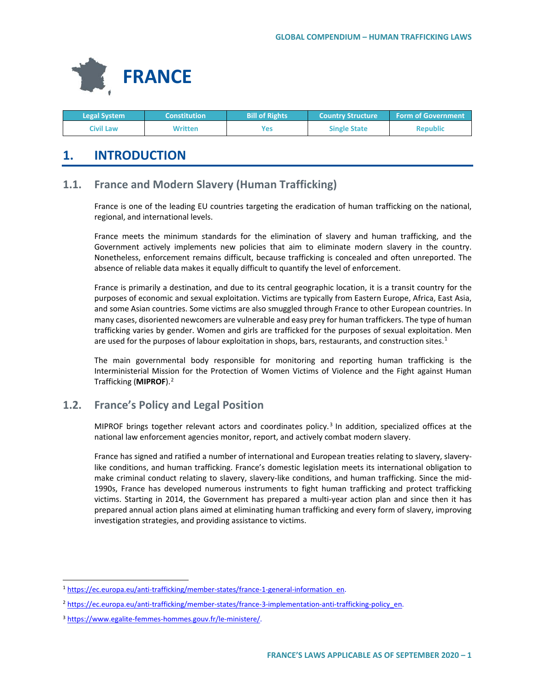

| <b>Legal System</b> | <b>Constitution</b> | <b>Bill of Rights</b> | Country Structure   | <b>Form of Government</b> |
|---------------------|---------------------|-----------------------|---------------------|---------------------------|
| Civil Law           | Written             | Yes                   | <b>Single State</b> | <b>Republic</b>           |

# **1. INTRODUCTION**

# **1.1. France and Modern Slavery (Human Trafficking)**

France is one of the leading EU countries targeting the eradication of human trafficking on the national, regional, and international levels.

France meets the minimum standards for the elimination of slavery and human trafficking, and the Government actively implements new policies that aim to eliminate modern slavery in the country. Nonetheless, enforcement remains difficult, because trafficking is concealed and often unreported. The absence of reliable data makes it equally difficult to quantify the level of enforcement.

France is primarily a destination, and due to its central geographic location, it is a transit country for the purposes of economic and sexual exploitation. Victims are typically from Eastern Europe, Africa, East Asia, and some Asian countries. Some victims are also smuggled through France to other European countries. In many cases, disoriented newcomers are vulnerable and easy prey for human traffickers. The type of human trafficking varies by gender. Women and girls are trafficked for the purposes of sexual exploitation. Men are used for the purposes of labour exploitation in shops, bars, restaurants, and construction sites.<sup>[1](#page-0-0)</sup>

The main governmental body responsible for monitoring and reporting human trafficking is the Interministerial Mission for the Protection of Women Victims of Violence and the Fight against Human Trafficking (**MIPROF**).[2](#page-0-1)

# **1.2. France's Policy and Legal Position**

MIPROF brings together relevant actors and coordinates policy.<sup>[3](#page-0-2)</sup> In addition, specialized offices at the national law enforcement agencies monitor, report, and actively combat modern slavery.

France has signed and ratified a number of international and European treaties relating to slavery, slaverylike conditions, and human trafficking. France's domestic legislation meets its international obligation to make criminal conduct relating to slavery, slavery-like conditions, and human trafficking. Since the mid-1990s, France has developed numerous instruments to fight human trafficking and protect trafficking victims. Starting in 2014, the Government has prepared a multi-year action plan and since then it has prepared annual action plans aimed at eliminating human trafficking and every form of slavery, improving investigation strategies, and providing assistance to victims.

<span id="page-0-0"></span><sup>&</sup>lt;sup>1</sup> [https://ec.europa.eu/anti-trafficking/member-states/france-1-general-information\\_en.](https://ec.europa.eu/anti-trafficking/member-states/france-1-general-information_en)

<span id="page-0-1"></span><sup>2</sup> [https://ec.europa.eu/anti-trafficking/member-states/france-3-implementation-anti-trafficking-policy\\_en.](https://ec.europa.eu/anti-trafficking/member-states/france-3-implementation-anti-trafficking-policy_en)

<span id="page-0-2"></span><sup>3</sup> [https://www.egalite-femmes-hommes.gouv.fr/le-ministere/.](https://www.egalite-femmes-hommes.gouv.fr/le-ministere/)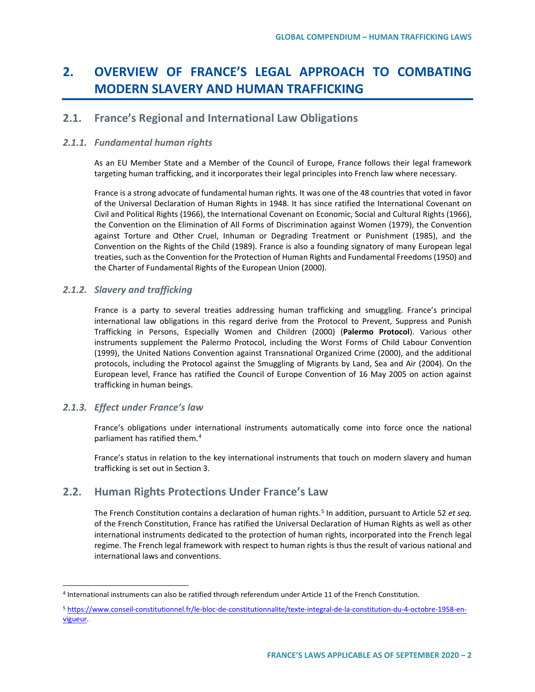# **2. OVERVIEW OF FRANCE'S LEGAL APPROACH TO COMBATING MODERN SLAVERY AND HUMAN TRAFFICKING**

### **2.1. France's Regional and International Law Obligations**

### *2.1.1. Fundamental human rights*

As an EU Member State and a Member of the Council of Europe, France follows their legal framework targeting human trafficking, and it incorporates their legal principles into French law where necessary.

France is a strong advocate of fundamental human rights. It was one of the 48 countries that voted in favor of the Universal Declaration of Human Rights in 1948. It has since ratified the International Covenant on Civil and Political Rights (1966), the International Covenant on Economic, Social and Cultural Rights (1966), the Convention on the Elimination of All Forms of Discrimination against Women (1979), the Convention against Torture and Other Cruel, Inhuman or Degrading Treatment or Punishment (1985), and the Convention on the Rights of the Child (1989). France is also a founding signatory of many European legal treaties, such as the Convention for the Protection of Human Rights and Fundamental Freedoms (1950) and the Charter of Fundamental Rights of the European Union (2000).

### *2.1.2. Slavery and trafficking*

France is a party to several treaties addressing human trafficking and smuggling. France's principal international law obligations in this regard derive from the Protocol to Prevent, Suppress and Punish Trafficking in Persons, Especially Women and Children (2000) (**Palermo Protocol**). Various other instruments supplement the Palermo Protocol, including the Worst Forms of Child Labour Convention (1999), the United Nations Convention against Transnational Organized Crime (2000), and the additional protocols, including the Protocol against the Smuggling of Migrants by Land, Sea and Air (2004). On the European level, France has ratified the Council of Europe Convention of 16 May 2005 on action against trafficking in human beings.

### *2.1.3. Effect under France's law*

France's obligations under international instruments automatically come into force once the national parliament has ratified them.<sup>[4](#page-1-0)</sup>

France's status in relation to the key international instruments that touch on modern slavery and human trafficking is set out in Section 3.

## **2.2. Human Rights Protections Under France's Law**

The French Constitution contains a declaration of human rights.[5](#page-1-1) In addition, pursuant to Article 52 *et seq.* of the French Constitution, France has ratified the Universal Declaration of Human Rights as well as other international instruments dedicated to the protection of human rights, incorporated into the French legal regime. The French legal framework with respect to human rights is thus the result of various national and international laws and conventions.

<span id="page-1-0"></span> <sup>4</sup> International instruments can also be ratified through referendum under Article 11 of the French Constitution.

<span id="page-1-1"></span><sup>5</sup> [https://www.conseil-constitutionnel.fr/le-bloc-de-constitutionnalite/texte-integral-de-la-constitution-du-4-octobre-1958-en](https://www.conseil-constitutionnel.fr/le-bloc-de-constitutionnalite/texte-integral-de-la-constitution-du-4-octobre-1958-en-vigueur)[vigueur.](https://www.conseil-constitutionnel.fr/le-bloc-de-constitutionnalite/texte-integral-de-la-constitution-du-4-octobre-1958-en-vigueur)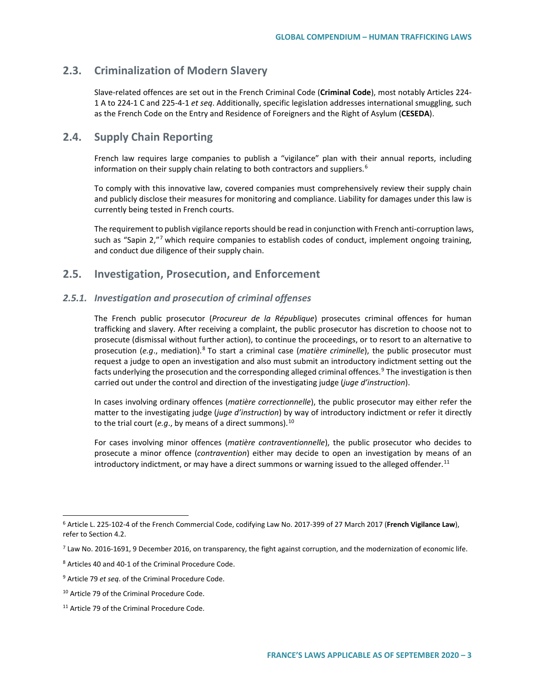## **2.3. Criminalization of Modern Slavery**

Slave-related offences are set out in the French Criminal Code (**Criminal Code**), most notably Articles 224- 1 A to 224-1 C and 225-4-1 *et seq*. Additionally, specific legislation addresses international smuggling, such as the French Code on the Entry and Residence of Foreigners and the Right of Asylum (**CESEDA**).

# **2.4. Supply Chain Reporting**

French law requires large companies to publish a "vigilance" plan with their annual reports, including information on their supply chain relating to both contractors and suppliers.<sup>[6](#page-2-0)</sup>

To comply with this innovative law, covered companies must comprehensively review their supply chain and publicly disclose their measures for monitoring and compliance. Liability for damages under this law is currently being tested in French courts.

The requirement to publish vigilance reports should be read in conjunction with French anti-corruption laws, such as "Sapin  $2,$ " which require companies to establish codes of conduct, implement ongoing training, and conduct due diligence of their supply chain.

# **2.5. Investigation, Prosecution, and Enforcement**

### *2.5.1. Investigation and prosecution of criminal offenses*

The French public prosecutor (*Procureur de la République*) prosecutes criminal offences for human trafficking and slavery. After receiving a complaint, the public prosecutor has discretion to choose not to prosecute (dismissal without further action), to continue the proceedings, or to resort to an alternative to prosecution (*e.g*., mediation).[8](#page-2-2) To start a criminal case (*matière criminelle*), the public prosecutor must request a judge to open an investigation and also must submit an introductory indictment setting out the facts underlying the prosecution and the corresponding alleged criminal offences.<sup>[9](#page-2-3)</sup> The investigation is then carried out under the control and direction of the investigating judge (*juge d'instruction*).

In cases involving ordinary offences (*matière correctionnelle*), the public prosecutor may either refer the matter to the investigating judge (*juge d'instruction*) by way of introductory indictment or refer it directly to the trial court ( $e.g.,$  by means of a direct summons).<sup>[10](#page-2-4)</sup>

For cases involving minor offences (*matière contraventionnelle*), the public prosecutor who decides to prosecute a minor offence (*contravention*) either may decide to open an investigation by means of an introductory indictment, or may have a direct summons or warning issued to the alleged offender.<sup>[11](#page-2-5)</sup>

<span id="page-2-0"></span> <sup>6</sup> Article L. 225-102-4 of the French Commercial Code, codifying Law No. 2017-399 of 27 March 2017 (**French Vigilance Law**), refer to Section 4.2.

<span id="page-2-1"></span> $<sup>7</sup>$  Law No. 2016-1691, 9 December 2016, on transparency, the fight against corruption, and the modernization of economic life.</sup>

<span id="page-2-2"></span><sup>8</sup> Articles 40 and 40-1 of the Criminal Procedure Code.

<span id="page-2-3"></span><sup>9</sup> Article 79 *et seq*. of the Criminal Procedure Code.

<span id="page-2-4"></span><sup>10</sup> Article 79 of the Criminal Procedure Code.

<span id="page-2-5"></span><sup>11</sup> Article 79 of the Criminal Procedure Code.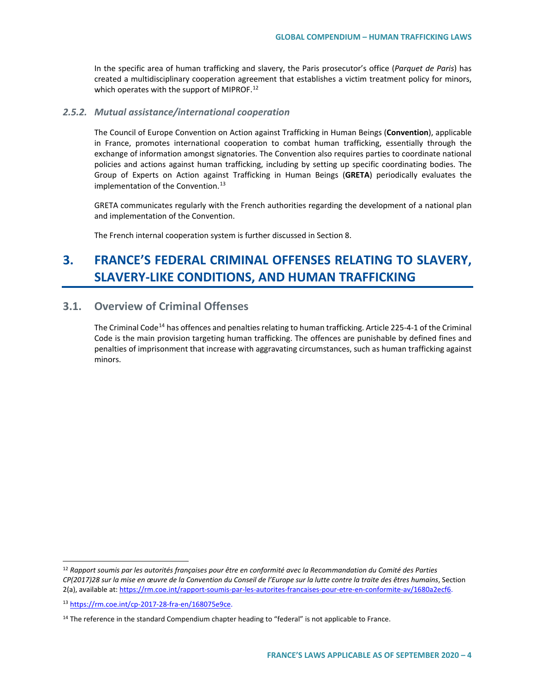In the specific area of human trafficking and slavery, the Paris prosecutor's office (*Parquet de Paris*) has created a multidisciplinary cooperation agreement that establishes a victim treatment policy for minors, which operates with the support of MIPROF.<sup>[12](#page-3-0)</sup>

### *2.5.2. Mutual assistance/international cooperation*

The Council of Europe Convention on Action against Trafficking in Human Beings (**Convention**), applicable in France, promotes international cooperation to combat human trafficking, essentially through the exchange of information amongst signatories. The Convention also requires parties to coordinate national policies and actions against human trafficking, including by setting up specific coordinating bodies. The Group of Experts on Action against Trafficking in Human Beings (**GRETA**) periodically evaluates the implementation of the Convention.<sup>[13](#page-3-1)</sup>

GRETA communicates regularly with the French authorities regarding the development of a national plan and implementation of the Convention.

The French internal cooperation system is further discussed in Section 8.

# **3. FRANCE'S FEDERAL CRIMINAL OFFENSES RELATING TO SLAVERY, SLAVERY-LIKE CONDITIONS, AND HUMAN TRAFFICKING**

# **3.1. Overview of Criminal Offenses**

The Criminal Code<sup>[14](#page-3-2)</sup> has offences and penalties relating to human trafficking. Article 225-4-1 of the Criminal Code is the main provision targeting human trafficking. The offences are punishable by defined fines and penalties of imprisonment that increase with aggravating circumstances, such as human trafficking against minors.

<span id="page-3-0"></span> <sup>12</sup> *Rapport soumis par les autorités françaises pour être en conformité avec la Recommandation du Comité des Parties CP(2017)28 sur la mise en œuvre de la Convention du Conseil de l'Europe sur la lutte contre la traite des êtres humains*, Section 2(a), available at: https://rm.coe.int/rapport-soumis-par-les-autorites-francaises-pour-etre-en-conformite-av/1680a2ecf6.

<span id="page-3-1"></span><sup>13</sup> [https://rm.coe.int/cp-2017-28-fra-en/168075e9ce.](https://rm.coe.int/cp-2017-28-fra-en/168075e9ce)

<span id="page-3-2"></span><sup>&</sup>lt;sup>14</sup> The reference in the standard Compendium chapter heading to "federal" is not applicable to France.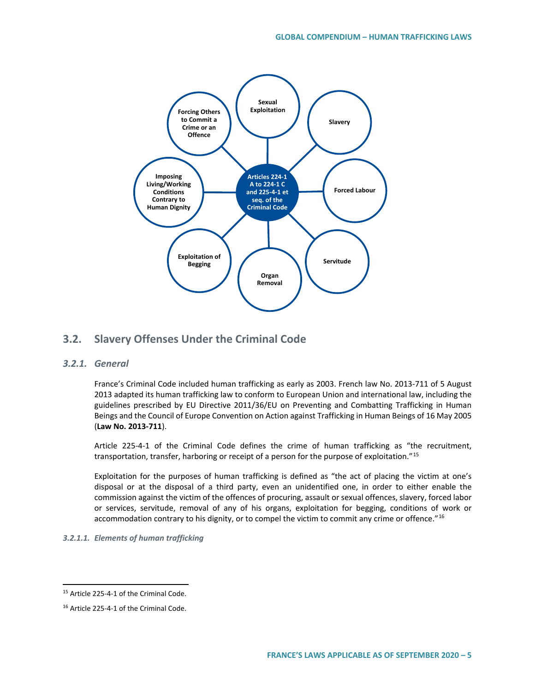

# **3.2. Slavery Offenses Under the Criminal Code**

### *3.2.1. General*

France's Criminal Code included human trafficking as early as 2003. French law No. 2013-711 of 5 August 2013 adapted its human trafficking law to conform to European Union and international law, including the guidelines prescribed by EU Directive 2011/36/EU on Preventing and Combatting Trafficking in Human Beings and the Council of Europe Convention on Action against Trafficking in Human Beings of 16 May 2005 (**Law No. 2013-711**).

Article 225-4-1 of the Criminal Code defines the crime of human trafficking as "the recruitment, transportation, transfer, harboring or receipt of a person for the purpose of exploitation."[15](#page-4-0)

Exploitation for the purposes of human trafficking is defined as "the act of placing the victim at one's disposal or at the disposal of a third party, even an unidentified one, in order to either enable the commission against the victim of the offences of procuring, assault or sexual offences, slavery, forced labor or services, servitude, removal of any of his organs, exploitation for begging, conditions of work or accommodation contrary to his dignity, or to compel the victim to commit any crime or offence."<sup>[16](#page-4-1)</sup>

### *3.2.1.1. Elements of human trafficking*

<span id="page-4-0"></span><sup>&</sup>lt;sup>15</sup> Article 225-4-1 of the Criminal Code.

<span id="page-4-1"></span><sup>16</sup> Article 225-4-1 of the Criminal Code.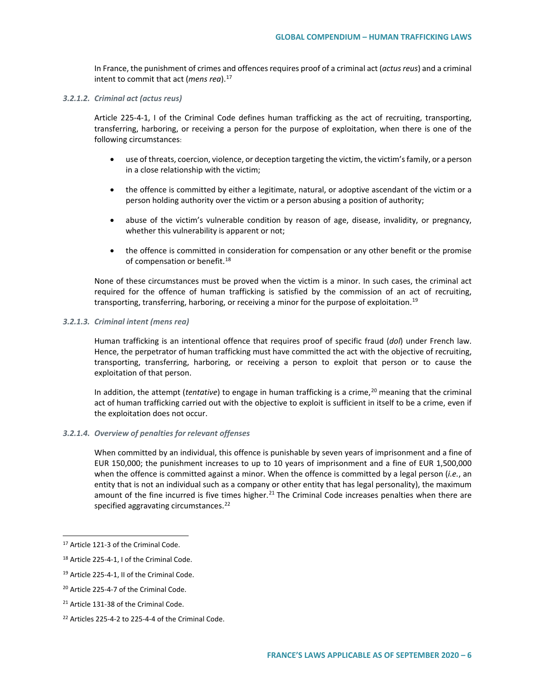In France, the punishment of crimes and offences requires proof of a criminal act (*actus reus*) and a criminal intent to commit that act (*mens rea*).<sup>[17](#page-5-0)</sup>

#### *3.2.1.2. Criminal act (actus reus)*

Article 225-4-1, I of the Criminal Code defines human trafficking as the act of recruiting, transporting, transferring, harboring, or receiving a person for the purpose of exploitation, when there is one of the following circumstances:

- use of threats, coercion, violence, or deception targeting the victim, the victim's family, or a person in a close relationship with the victim;
- the offence is committed by either a legitimate, natural, or adoptive ascendant of the victim or a person holding authority over the victim or a person abusing a position of authority;
- abuse of the victim's vulnerable condition by reason of age, disease, invalidity, or pregnancy, whether this vulnerability is apparent or not;
- the offence is committed in consideration for compensation or any other benefit or the promise of compensation or benefit.<sup>[18](#page-5-1)</sup>

None of these circumstances must be proved when the victim is a minor. In such cases, the criminal act required for the offence of human trafficking is satisfied by the commission of an act of recruiting, transporting, transferring, harboring, or receiving a minor for the purpose of exploitation.<sup>[19](#page-5-2)</sup>

### *3.2.1.3. Criminal intent (mens rea)*

Human trafficking is an intentional offence that requires proof of specific fraud (*dol*) under French law. Hence, the perpetrator of human trafficking must have committed the act with the objective of recruiting, transporting, transferring, harboring, or receiving a person to exploit that person or to cause the exploitation of that person.

In addition, the attempt *(tentative)* to engage in human trafficking is a crime,<sup>[20](#page-5-3)</sup> meaning that the criminal act of human trafficking carried out with the objective to exploit is sufficient in itself to be a crime, even if the exploitation does not occur.

#### *3.2.1.4. Overview of penalties for relevant offenses*

When committed by an individual, this offence is punishable by seven years of imprisonment and a fine of EUR 150,000; the punishment increases to up to 10 years of imprisonment and a fine of EUR 1,500,000 when the offence is committed against a minor. When the offence is committed by a legal person (*i.e.*, an entity that is not an individual such as a company or other entity that has legal personality), the maximum amount of the fine incurred is five times higher.<sup>[21](#page-5-4)</sup> The Criminal Code increases penalties when there are specified aggravating circumstances. $^{22}$  $^{22}$  $^{22}$ 

<span id="page-5-0"></span><sup>&</sup>lt;sup>17</sup> Article 121-3 of the Criminal Code.

<span id="page-5-1"></span><sup>18</sup> Article 225-4-1, I of the Criminal Code.

<span id="page-5-2"></span><sup>19</sup> Article 225-4-1, II of the Criminal Code.

<span id="page-5-3"></span><sup>20</sup> Article 225-4-7 of the Criminal Code.

<span id="page-5-4"></span><sup>&</sup>lt;sup>21</sup> Article 131-38 of the Criminal Code.

<span id="page-5-5"></span><sup>22</sup> Articles 225-4-2 to 225-4-4 of the Criminal Code.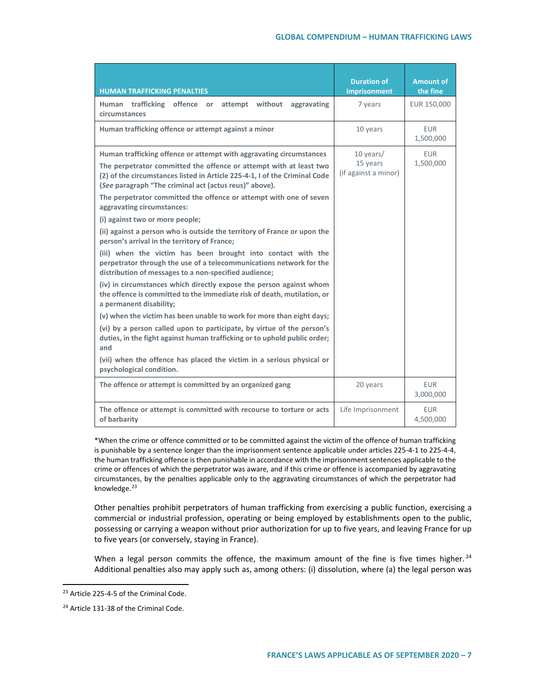| <b>HUMAN TRAFFICKING PENALTIES</b>                                                                                                                                                                                                                                                                                                                                                                                                                                                                                                                                                                                                                                                                                                                                                                                                                                                                                                                                                                                                                                                                                                                                                                                                                                            | <b>Duration of</b><br>imprisonment              | <b>Amount of</b><br>the fine |
|-------------------------------------------------------------------------------------------------------------------------------------------------------------------------------------------------------------------------------------------------------------------------------------------------------------------------------------------------------------------------------------------------------------------------------------------------------------------------------------------------------------------------------------------------------------------------------------------------------------------------------------------------------------------------------------------------------------------------------------------------------------------------------------------------------------------------------------------------------------------------------------------------------------------------------------------------------------------------------------------------------------------------------------------------------------------------------------------------------------------------------------------------------------------------------------------------------------------------------------------------------------------------------|-------------------------------------------------|------------------------------|
| Human trafficking offence or<br>without<br>attempt<br>aggravating<br>circumstances                                                                                                                                                                                                                                                                                                                                                                                                                                                                                                                                                                                                                                                                                                                                                                                                                                                                                                                                                                                                                                                                                                                                                                                            | 7 years                                         | EUR 150,000                  |
| Human trafficking offence or attempt against a minor                                                                                                                                                                                                                                                                                                                                                                                                                                                                                                                                                                                                                                                                                                                                                                                                                                                                                                                                                                                                                                                                                                                                                                                                                          | 10 years                                        | EUR.<br>1,500,000            |
| Human trafficking offence or attempt with aggravating circumstances<br>The perpetrator committed the offence or attempt with at least two<br>(2) of the circumstances listed in Article 225-4-1, I of the Criminal Code<br>(See paragraph "The criminal act (actus reus)" above).<br>The perpetrator committed the offence or attempt with one of seven<br>aggravating circumstances:<br>(i) against two or more people;<br>(ii) against a person who is outside the territory of France or upon the<br>person's arrival in the territory of France;<br>(iii) when the victim has been brought into contact with the<br>perpetrator through the use of a telecommunications network for the<br>distribution of messages to a non-specified audience;<br>(iv) in circumstances which directly expose the person against whom<br>the offence is committed to the immediate risk of death, mutilation, or<br>a permanent disability;<br>(v) when the victim has been unable to work for more than eight days;<br>(vi) by a person called upon to participate, by virtue of the person's<br>duties, in the fight against human trafficking or to uphold public order;<br>and<br>(vii) when the offence has placed the victim in a serious physical or<br>psychological condition. | $10$ years/<br>15 years<br>(if against a minor) | <b>EUR</b><br>1,500,000      |
| The offence or attempt is committed by an organized gang                                                                                                                                                                                                                                                                                                                                                                                                                                                                                                                                                                                                                                                                                                                                                                                                                                                                                                                                                                                                                                                                                                                                                                                                                      | 20 years                                        | <b>EUR</b><br>3,000,000      |
| The offence or attempt is committed with recourse to torture or acts<br>of barbarity                                                                                                                                                                                                                                                                                                                                                                                                                                                                                                                                                                                                                                                                                                                                                                                                                                                                                                                                                                                                                                                                                                                                                                                          | Life Imprisonment                               | <b>EUR</b><br>4,500,000      |

\*When the crime or offence committed or to be committed against the victim of the offence of human trafficking is punishable by a sentence longer than the imprisonment sentence applicable under articles 225-4-1 to 225-4-4, the human trafficking offence is then punishable in accordance with the imprisonment sentences applicable to the crime or offences of which the perpetrator was aware, and if this crime or offence is accompanied by aggravating circumstances, by the penalties applicable only to the aggravating circumstances of which the perpetrator had knowledge.<sup>[23](#page-6-0)</sup>

Other penalties prohibit perpetrators of human trafficking from exercising a public function, exercising a commercial or industrial profession, operating or being employed by establishments open to the public, possessing or carrying a weapon without prior authorization for up to five years, and leaving France for up to five years (or conversely, staying in France).

When a legal person commits the offence, the maximum amount of the fine is five times higher.  $24$ Additional penalties also may apply such as, among others: (i) dissolution, where (a) the legal person was

<span id="page-6-0"></span><sup>&</sup>lt;sup>23</sup> Article 225-4-5 of the Criminal Code.

<span id="page-6-1"></span><sup>&</sup>lt;sup>24</sup> Article 131-38 of the Criminal Code.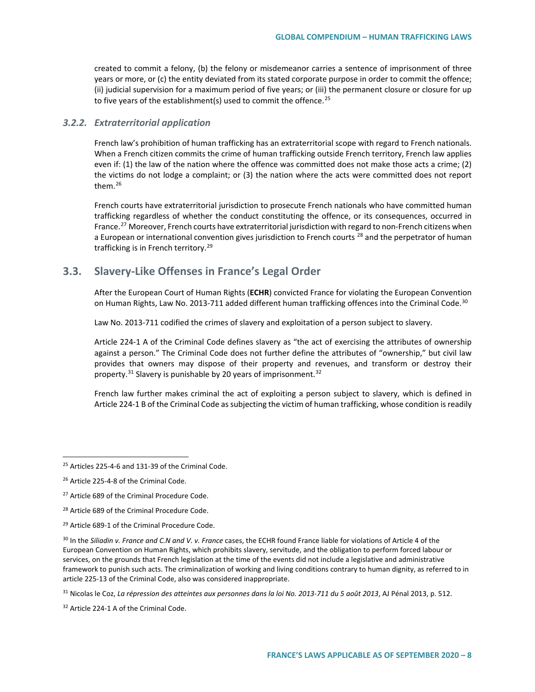created to commit a felony, (b) the felony or misdemeanor carries a sentence of imprisonment of three years or more, or (c) the entity deviated from its stated corporate purpose in order to commit the offence; (ii) judicial supervision for a maximum period of five years; or (iii) the permanent closure or closure for up to five years of the establishment(s) used to commit the offence.<sup>[25](#page-7-0)</sup>

### *3.2.2. Extraterritorial application*

French law's prohibition of human trafficking has an extraterritorial scope with regard to French nationals. When a French citizen commits the crime of human trafficking outside French territory, French law applies even if: (1) the law of the nation where the offence was committed does not make those acts a crime; (2) the victims do not lodge a complaint; or (3) the nation where the acts were committed does not report them.[26](#page-7-1)

French courts have extraterritorial jurisdiction to prosecute French nationals who have committed human trafficking regardless of whether the conduct constituting the offence, or its consequences, occurred in France.<sup>[27](#page-7-2)</sup> Moreover, French courts have extraterritorial jurisdiction with regard to non-French citizens when a European or international convention gives jurisdiction to French courts <sup>[28](#page-7-3)</sup> and the perpetrator of human trafficking is in French territory.<sup>[29](#page-7-4)</sup>

## **3.3. Slavery-Like Offenses in France's Legal Order**

After the European Court of Human Rights (**ECHR**) convicted France for violating the European Convention on Human Rights, Law No. 2013-711 added different human trafficking offences into the Criminal Code.<sup>[30](#page-7-5)</sup>

Law No. 2013-711 codified the crimes of slavery and exploitation of a person subject to slavery.

Article 224-1 A of the Criminal Code defines slavery as "the act of exercising the attributes of ownership against a person." The Criminal Code does not further define the attributes of "ownership," but civil law provides that owners may dispose of their property and revenues, and transform or destroy their property.<sup>[31](#page-7-6)</sup> Slavery is punishable by 20 years of imprisonment.<sup>[32](#page-7-7)</sup>

French law further makes criminal the act of exploiting a person subject to slavery, which is defined in Article 224-1 B of the Criminal Code as subjecting the victim of human trafficking, whose condition is readily

<span id="page-7-0"></span> <sup>25</sup> Articles 225-4-6 and 131-39 of the Criminal Code.

<span id="page-7-1"></span><sup>26</sup> Article 225-4-8 of the Criminal Code.

<span id="page-7-2"></span><sup>&</sup>lt;sup>27</sup> Article 689 of the Criminal Procedure Code.

<span id="page-7-3"></span><sup>28</sup> Article 689 of the Criminal Procedure Code.

<span id="page-7-4"></span><sup>29</sup> Article 689-1 of the Criminal Procedure Code.

<span id="page-7-5"></span><sup>30</sup> In the *Siliadin v. France and C.N and V. v. France* cases, the ECHR found France liable for violations of Article 4 of the European Convention on Human Rights, which prohibits slavery, servitude, and the obligation to perform forced labour or services, on the grounds that French legislation at the time of the events did not include a legislative and administrative framework to punish such acts. The criminalization of working and living conditions contrary to human dignity, as referred to in article 225-13 of the Criminal Code, also was considered inappropriate.

<span id="page-7-6"></span><sup>31</sup> Nicolas le Coz, *La répression des atteintes aux personnes dans la loi No. 2013-711 du 5 août 2013*, AJ Pénal 2013, p. 512.

<span id="page-7-7"></span><sup>32</sup> Article 224-1 A of the Criminal Code.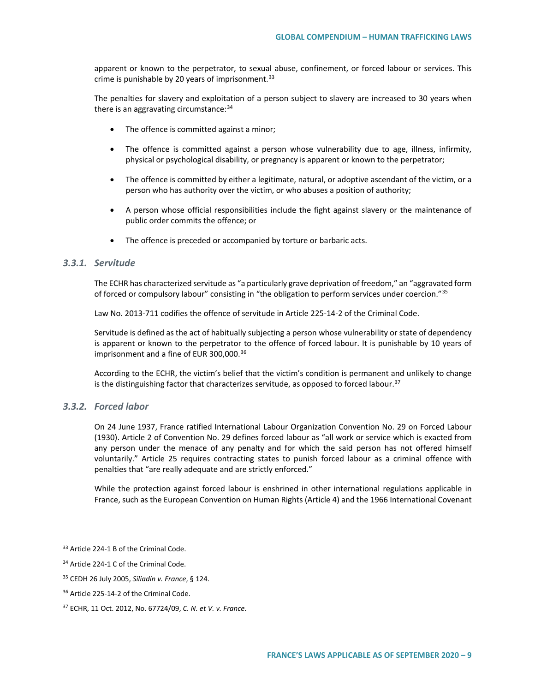apparent or known to the perpetrator, to sexual abuse, confinement, or forced labour or services. This crime is punishable by 20 years of imprisonment. $33$ 

The penalties for slavery and exploitation of a person subject to slavery are increased to 30 years when there is an aggravating circumstance: $34$ 

- The offence is committed against a minor;
- The offence is committed against a person whose vulnerability due to age, illness, infirmity, physical or psychological disability, or pregnancy is apparent or known to the perpetrator;
- The offence is committed by either a legitimate, natural, or adoptive ascendant of the victim, or a person who has authority over the victim, or who abuses a position of authority;
- A person whose official responsibilities include the fight against slavery or the maintenance of public order commits the offence; or
- The offence is preceded or accompanied by torture or barbaric acts.

### *3.3.1. Servitude*

The ECHR has characterized servitude as "a particularly grave deprivation of freedom," an "aggravated form of forced or compulsory labour" consisting in "the obligation to perform services under coercion."[35](#page-8-2)

Law No. 2013-711 codifies the offence of servitude in Article 225-14-2 of the Criminal Code.

Servitude is defined as the act of habitually subjecting a person whose vulnerability or state of dependency is apparent or known to the perpetrator to the offence of forced labour. It is punishable by 10 years of imprisonment and a fine of EUR 300,000.<sup>[36](#page-8-3)</sup>

According to the ECHR, the victim's belief that the victim's condition is permanent and unlikely to change is the distinguishing factor that characterizes servitude, as opposed to forced labour.<sup>[37](#page-8-4)</sup>

### *3.3.2. Forced labor*

On 24 June 1937, France ratified International Labour Organization Convention No. 29 on Forced Labour (1930). Article 2 of Convention No. 29 defines forced labour as "all work or service which is exacted from any person under the menace of any penalty and for which the said person has not offered himself voluntarily." Article 25 requires contracting states to punish forced labour as a criminal offence with penalties that "are really adequate and are strictly enforced."

While the protection against forced labour is enshrined in other international regulations applicable in France, such as the European Convention on Human Rights (Article 4) and the 1966 International Covenant

<span id="page-8-0"></span><sup>&</sup>lt;sup>33</sup> Article 224-1 B of the Criminal Code.

<span id="page-8-1"></span><sup>&</sup>lt;sup>34</sup> Article 224-1 C of the Criminal Code.

<span id="page-8-2"></span><sup>35</sup> CEDH 26 July 2005, *Siliadin v. France*, § 124.

<span id="page-8-3"></span><sup>&</sup>lt;sup>36</sup> Article 225-14-2 of the Criminal Code.

<span id="page-8-4"></span><sup>37</sup> ECHR, 11 Oct. 2012, No. 67724/09, *C. N. et V. v. France*.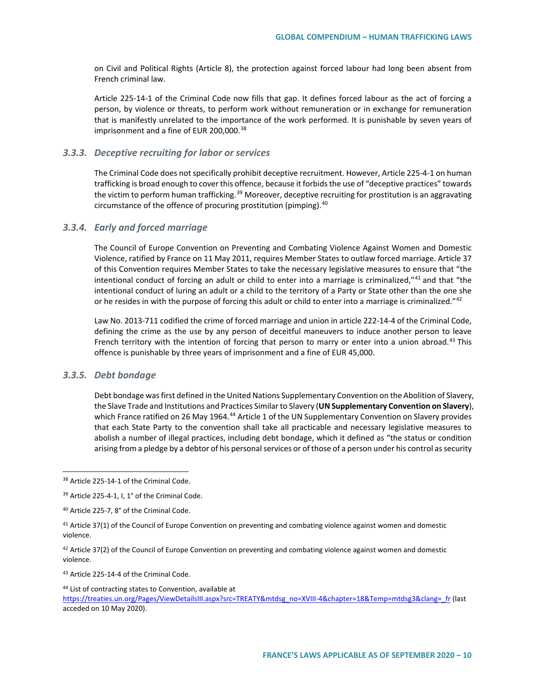on Civil and Political Rights (Article 8), the protection against forced labour had long been absent from French criminal law.

Article 225-14-1 of the Criminal Code now fills that gap. It defines forced labour as the act of forcing a person, by violence or threats, to perform work without remuneration or in exchange for remuneration that is manifestly unrelated to the importance of the work performed. It is punishable by seven years of imprisonment and a fine of EUR 200,000.<sup>[38](#page-9-0)</sup>

### *3.3.3. Deceptive recruiting for labor or services*

The Criminal Code does not specifically prohibit deceptive recruitment. However, Article 225-4-1 on human trafficking is broad enough to cover this offence, because it forbids the use of "deceptive practices" towards the victim to perform human trafficking.<sup>[39](#page-9-1)</sup> Moreover, deceptive recruiting for prostitution is an aggravating circumstance of the offence of procuring prostitution (pimping).<sup>[40](#page-9-2)</sup>

### *3.3.4. Early and forced marriage*

The Council of Europe Convention on Preventing and Combating Violence Against Women and Domestic Violence, ratified by France on 11 May 2011, requires Member States to outlaw forced marriage. Article 37 of this Convention requires Member States to take the necessary legislative measures to ensure that "the intentional conduct of forcing an adult or child to enter into a marriage is criminalized,"[41](#page-9-3) and that "the intentional conduct of luring an adult or a child to the territory of a Party or State other than the one she or he resides in with the purpose of forcing this adult or child to enter into a marriage is criminalized."<sup>[42](#page-9-4)</sup>

Law No. 2013-711 codified the crime of forced marriage and union in article 222-14-4 of the Criminal Code, defining the crime as the use by any person of deceitful maneuvers to induce another person to leave French territory with the intention of forcing that person to marry or enter into a union abroad.<sup>[43](#page-9-5)</sup> This offence is punishable by three years of imprisonment and a fine of EUR 45,000.

### *3.3.5. Debt bondage*

Debt bondage was first defined in the United Nations Supplementary Convention on the Abolition of Slavery, the Slave Trade and Institutions and Practices Similar to Slavery (**UN Supplementary Convention on Slavery**), which France ratified on 26 May 1964.<sup>[44](#page-9-6)</sup> Article 1 of the UN Supplementary Convention on Slavery provides that each State Party to the convention shall take all practicable and necessary legislative measures to abolish a number of illegal practices, including debt bondage, which it defined as "the status or condition arising from a pledge by a debtor of his personal services or of those of a person under his control as security

<span id="page-9-0"></span> <sup>38</sup> Article 225-14-1 of the Criminal Code.

<span id="page-9-1"></span><sup>39</sup> Article 225-4-1, I, 1° of the Criminal Code.

<span id="page-9-2"></span><sup>40</sup> Article 225-7, 8° of the Criminal Code.

<span id="page-9-3"></span> $41$  Article 37(1) of the Council of Europe Convention on preventing and combating violence against women and domestic violence.

<span id="page-9-4"></span> $42$  Article 37(2) of the Council of Europe Convention on preventing and combating violence against women and domestic violence.

<span id="page-9-5"></span><sup>43</sup> Article 225-14-4 of the Criminal Code.

<span id="page-9-6"></span><sup>44</sup> List of contracting states to Convention, available at

[https://treaties.un.org/Pages/ViewDetailsIII.aspx?src=TREATY&mtdsg\\_no=XVIII-4&chapter=18&Temp=mtdsg3&clang=\\_fr](https://treaties.un.org/Pages/ViewDetailsIII.aspx?src=TREATY&mtdsg_no=XVIII-4&chapter=18&Temp=mtdsg3&clang=_fr) (last acceded on 10 May 2020).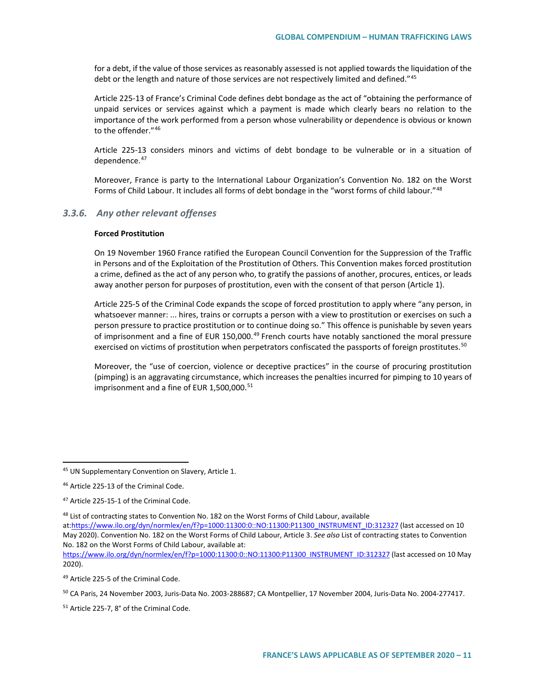for a debt, if the value of those services as reasonably assessed is not applied towards the liquidation of the debt or the length and nature of those services are not respectively limited and defined."[45](#page-10-0)

Article 225-13 of France's Criminal Code defines debt bondage as the act of "obtaining the performance of unpaid services or services against which a payment is made which clearly bears no relation to the importance of the work performed from a person whose vulnerability or dependence is obvious or known to the offender."<sup>[46](#page-10-1)</sup>

Article 225-13 considers minors and victims of debt bondage to be vulnerable or in a situation of dependence.<sup>[47](#page-10-2)</sup>

Moreover, France is party to the International Labour Organization's Convention No. 182 on the Worst Forms of Child Labour. It includes all forms of debt bondage in the "worst forms of child labour."<sup>[48](#page-10-3)</sup>

### *3.3.6. Any other relevant offenses*

#### **Forced Prostitution**

On 19 November 1960 France ratified the European Council Convention for the Suppression of the Traffic in Persons and of the Exploitation of the Prostitution of Others. This Convention makes forced prostitution a crime, defined as the act of any person who, to gratify the passions of another, procures, entices, or leads away another person for purposes of prostitution, even with the consent of that person (Article 1).

Article 225-5 of the Criminal Code expands the scope of forced prostitution to apply where "any person, in whatsoever manner: ... hires, trains or corrupts a person with a view to prostitution or exercises on such a person pressure to practice prostitution or to continue doing so." This offence is punishable by seven years of imprisonment and a fine of EUR 150,000.[49](#page-10-4) French courts have notably sanctioned the moral pressure exercised on victims of prostitution when perpetrators confiscated the passports of foreign prostitutes.<sup>[50](#page-10-5)</sup>

Moreover, the "use of coercion, violence or deceptive practices" in the course of procuring prostitution (pimping) is an aggravating circumstance, which increases the penalties incurred for pimping to 10 years of imprisonment and a fine of EUR  $1,500,000$ .<sup>[51](#page-10-6)</sup>

a[t:https://www.ilo.org/dyn/normlex/en/f?p=1000:11300:0::NO:11300:P11300\\_INSTRUMENT\\_ID:312327](https://www.ilo.org/dyn/normlex/en/f?p=1000:11300:0::NO:11300:P11300_INSTRUMENT_ID:312327) (last accessed on 10 May 2020). Convention No. 182 on the Worst Forms of Child Labour, Article 3. *See also* List of contracting states to Convention No. 182 on the Worst Forms of Child Labour, available at:

[https://www.ilo.org/dyn/normlex/en/f?p=1000:11300:0::NO:11300:P11300\\_INSTRUMENT\\_ID:312327](https://www.ilo.org/dyn/normlex/en/f?p=1000:11300:0::NO:11300:P11300_INSTRUMENT_ID:312327) (last accessed on 10 May 2020).

<span id="page-10-4"></span><sup>49</sup> Article 225-5 of the Criminal Code.

<span id="page-10-6"></span><sup>51</sup> Article 225-7, 8° of the Criminal Code.

<span id="page-10-0"></span><sup>45</sup> UN Supplementary Convention on Slavery, Article 1.

<span id="page-10-1"></span><sup>46</sup> Article 225-13 of the Criminal Code.

<span id="page-10-2"></span><sup>47</sup> Article 225-15-1 of the Criminal Code.

<span id="page-10-3"></span><sup>48</sup> List of contracting states to Convention No. 182 on the Worst Forms of Child Labour, available

<span id="page-10-5"></span><sup>50</sup> CA Paris, 24 November 2003, Juris-Data No. 2003-288687; CA Montpellier, 17 November 2004, Juris-Data No. 2004-277417.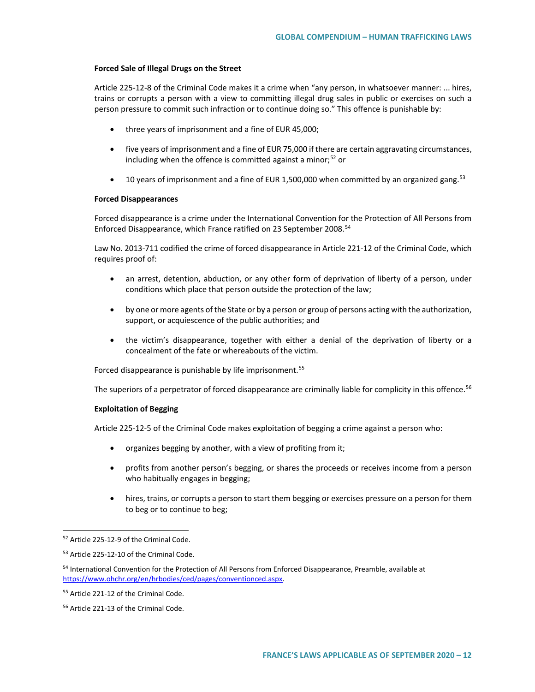#### **Forced Sale of Illegal Drugs on the Street**

Article 225-12-8 of the Criminal Code makes it a crime when "any person, in whatsoever manner: ... hires, trains or corrupts a person with a view to committing illegal drug sales in public or exercises on such a person pressure to commit such infraction or to continue doing so." This offence is punishable by:

- three years of imprisonment and a fine of EUR 45,000;
- five years of imprisonment and a fine of EUR 75,000 if there are certain aggravating circumstances, including when the offence is committed against a minor;<sup>[52](#page-11-0)</sup> or
- 10 years of imprisonment and a fine of EUR 1,500,000 when committed by an organized gang.<sup>[53](#page-11-1)</sup>

#### **Forced Disappearances**

Forced disappearance is a crime under the International Convention for the Protection of All Persons from Enforced Disappearance, which France ratified on 23 September 2008.<sup>[54](#page-11-2)</sup>

Law No. 2013-711 codified the crime of forced disappearance in Article 221-12 of the Criminal Code, which requires proof of:

- an arrest, detention, abduction, or any other form of deprivation of liberty of a person, under conditions which place that person outside the protection of the law;
- by one or more agents of the State or by a person or group of persons acting with the authorization, support, or acquiescence of the public authorities; and
- the victim's disappearance, together with either a denial of the deprivation of liberty or a concealment of the fate or whereabouts of the victim.

Forced disappearance is punishable by life imprisonment.<sup>[55](#page-11-3)</sup>

The superiors of a perpetrator of forced disappearance are criminally liable for complicity in this offence.<sup>[56](#page-11-4)</sup>

#### **Exploitation of Begging**

Article 225-12-5 of the Criminal Code makes exploitation of begging a crime against a person who:

- organizes begging by another, with a view of profiting from it;
- profits from another person's begging, or shares the proceeds or receives income from a person who habitually engages in begging;
- hires, trains, or corrupts a person to start them begging or exercises pressure on a person for them to beg or to continue to beg;

<span id="page-11-0"></span> <sup>52</sup> Article 225-12-9 of the Criminal Code.

<span id="page-11-1"></span><sup>53</sup> Article 225-12-10 of the Criminal Code.

<span id="page-11-2"></span><sup>&</sup>lt;sup>54</sup> International Convention for the Protection of All Persons from Enforced Disappearance, Preamble, available at [https://www.ohchr.org/en/hrbodies/ced/pages/conventionced.aspx.](https://www.ohchr.org/en/hrbodies/ced/pages/conventionced.aspx)

<span id="page-11-3"></span><sup>55</sup> Article 221-12 of the Criminal Code.

<span id="page-11-4"></span><sup>56</sup> Article 221-13 of the Criminal Code.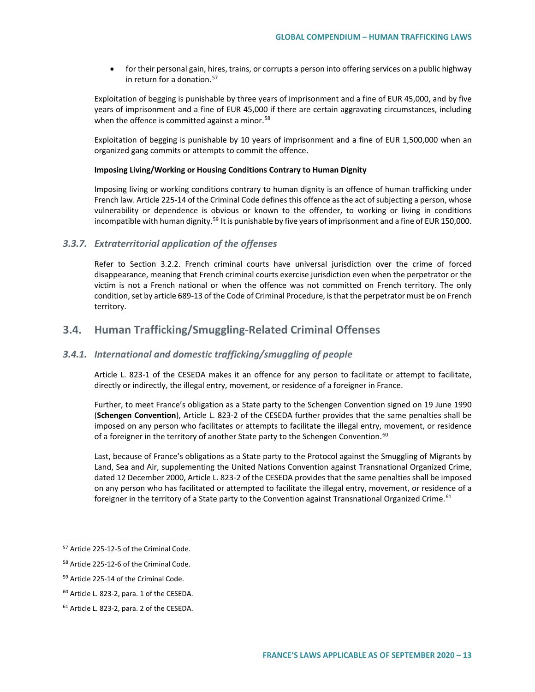• for their personal gain, hires, trains, or corrupts a person into offering services on a public highway in return for a donation.<sup>[57](#page-12-0)</sup>

Exploitation of begging is punishable by three years of imprisonment and a fine of EUR 45,000, and by five years of imprisonment and a fine of EUR 45,000 if there are certain aggravating circumstances, including when the offence is committed against a minor.<sup>[58](#page-12-1)</sup>

Exploitation of begging is punishable by 10 years of imprisonment and a fine of EUR 1,500,000 when an organized gang commits or attempts to commit the offence.

#### **Imposing Living/Working or Housing Conditions Contrary to Human Dignity**

Imposing living or working conditions contrary to human dignity is an offence of human trafficking under French law. Article 225-14 of the Criminal Code defines this offence as the act of subjecting a person, whose vulnerability or dependence is obvious or known to the offender, to working or living in conditions incompatible with human dignity.<sup>[59](#page-12-2)</sup> It is punishable by five years of imprisonment and a fine of EUR 150,000.

### *3.3.7. Extraterritorial application of the offenses*

Refer to Section 3.2.2. French criminal courts have universal jurisdiction over the crime of forced disappearance, meaning that French criminal courts exercise jurisdiction even when the perpetrator or the victim is not a French national or when the offence was not committed on French territory. The only condition, set by article 689-13 of the Code of Criminal Procedure, is that the perpetrator must be on French territory.

## **3.4. Human Trafficking/Smuggling-Related Criminal Offenses**

#### *3.4.1. International and domestic trafficking/smuggling of people*

Article L. 823-1 of the CESEDA makes it an offence for any person to facilitate or attempt to facilitate, directly or indirectly, the illegal entry, movement, or residence of a foreigner in France.

Further, to meet France's obligation as a State party to the Schengen Convention signed on 19 June 1990 (**Schengen Convention**), Article L. 823-2 of the CESEDA further provides that the same penalties shall be imposed on any person who facilitates or attempts to facilitate the illegal entry, movement, or residence of a foreigner in the territory of another State party to the Schengen Convention.<sup>[60](#page-12-3)</sup>

Last, because of France's obligations as a State party to the Protocol against the Smuggling of Migrants by Land, Sea and Air, supplementing the United Nations Convention against Transnational Organized Crime, dated 12 December 2000, Article L. 823-2 of the CESEDA provides that the same penalties shall be imposed on any person who has facilitated or attempted to facilitate the illegal entry, movement, or residence of a foreigner in the territory of a State party to the Convention against Transnational Organized Crime.<sup>[61](#page-12-4)</sup>

<span id="page-12-0"></span> <sup>57</sup> Article 225-12-5 of the Criminal Code.

<span id="page-12-1"></span><sup>58</sup> Article 225-12-6 of the Criminal Code.

<span id="page-12-2"></span><sup>59</sup> Article 225-14 of the Criminal Code.

<span id="page-12-3"></span><sup>60</sup> Article L. 823-2, para. 1 of the CESEDA.

<span id="page-12-4"></span><sup>61</sup> Article L. 823-2, para. 2 of the CESEDA.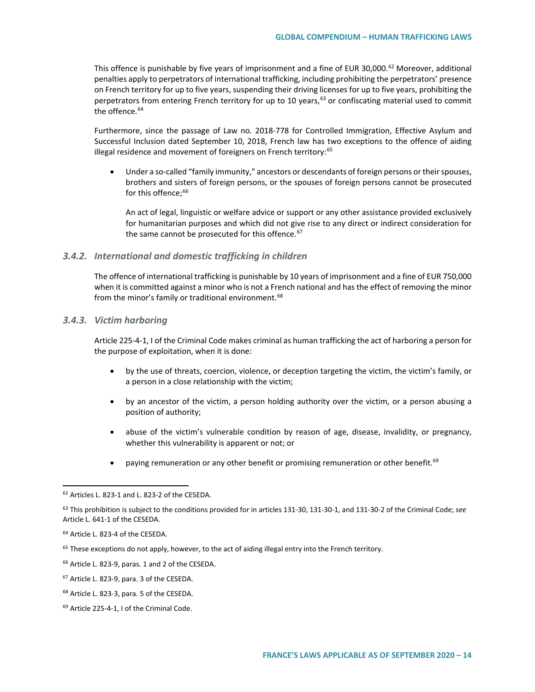This offence is punishable by five years of imprisonment and a fine of EUR 30,000.<sup>[62](#page-13-0)</sup> Moreover, additional penalties apply to perpetrators of international trafficking, including prohibiting the perpetrators' presence on French territory for up to five years, suspending their driving licenses for up to five years, prohibiting the perpetrators from entering French territory for up to 10 years,<sup>[63](#page-13-1)</sup> or confiscating material used to commit the offence.<sup>[64](#page-13-2)</sup>

Furthermore, since the passage of Law no. 2018-778 for Controlled Immigration, Effective Asylum and Successful Inclusion dated September 10, 2018, French law has two exceptions to the offence of aiding illegal residence and movement of foreigners on French territory:<sup>[65](#page-13-3)</sup>

• Under a so-called "family immunity," ancestors or descendants of foreign persons or their spouses, brothers and sisters of foreign persons, or the spouses of foreign persons cannot be prosecuted for this offence;<sup>[66](#page-13-4)</sup>

An act of legal, linguistic or welfare advice or support or any other assistance provided exclusively for humanitarian purposes and which did not give rise to any direct or indirect consideration for the same cannot be prosecuted for this offence.<sup>[67](#page-13-5)</sup>

### *3.4.2. International and domestic trafficking in children*

The offence of international trafficking is punishable by 10 years of imprisonment and a fine of EUR 750,000 when it is committed against a minor who is not a French national and has the effect of removing the minor from the minor's family or traditional environment.<sup>[68](#page-13-6)</sup>

#### *3.4.3. Victim harboring*

Article 225-4-1, I of the Criminal Code makes criminal as human trafficking the act of harboring a person for the purpose of exploitation, when it is done:

- by the use of threats, coercion, violence, or deception targeting the victim, the victim's family, or a person in a close relationship with the victim;
- by an ancestor of the victim, a person holding authority over the victim, or a person abusing a position of authority;
- abuse of the victim's vulnerable condition by reason of age, disease, invalidity, or pregnancy, whether this vulnerability is apparent or not; or
- paying remuneration or any other benefit or promising remuneration or other benefit.<sup>[69](#page-13-7)</sup>

<span id="page-13-0"></span> <sup>62</sup> Articles L. 823-1 and L. 823-2 of the CESEDA.

<span id="page-13-1"></span><sup>63</sup> This prohibition is subject to the conditions provided for in articles 131-30, 131-30-1, and 131-30-2 of the Criminal Code; *see* Article L. 641-1 of the CESEDA.

<span id="page-13-2"></span><sup>64</sup> Article L. 823-4 of the CESEDA.

<span id="page-13-3"></span> $65$  These exceptions do not apply, however, to the act of aiding illegal entry into the French territory.

<span id="page-13-4"></span><sup>66</sup> Article L. 823-9, paras. 1 and 2 of the CESEDA.

<span id="page-13-5"></span><sup>67</sup> Article L. 823-9, para. 3 of the CESEDA.

<span id="page-13-6"></span><sup>68</sup> Article L. 823-3, para. 5 of the CESEDA.

<span id="page-13-7"></span><sup>69</sup> Article 225-4-1, I of the Criminal Code.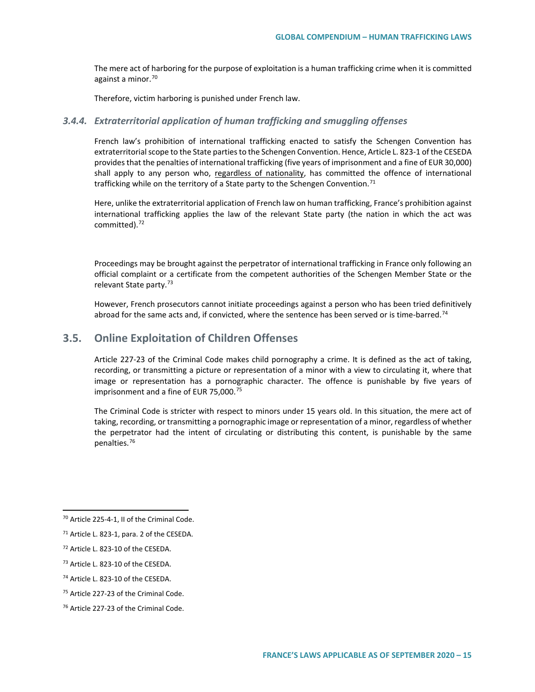The mere act of harboring for the purpose of exploitation is a human trafficking crime when it is committed against a minor.<sup>[70](#page-14-0)</sup>

Therefore, victim harboring is punished under French law.

### *3.4.4. Extraterritorial application of human trafficking and smuggling offenses*

French law's prohibition of international trafficking enacted to satisfy the Schengen Convention has extraterritorial scope to the State parties to the Schengen Convention. Hence, Article L. 823-1 of the CESEDA provides that the penalties of international trafficking (five years of imprisonment and a fine of EUR 30,000) shall apply to any person who, regardless of nationality, has committed the offence of international trafficking while on the territory of a State party to the Schengen Convention.<sup>[71](#page-14-1)</sup>

Here, unlike the extraterritorial application of French law on human trafficking, France's prohibition against international trafficking applies the law of the relevant State party (the nation in which the act was committed).<sup>[72](#page-14-2)</sup>

Proceedings may be brought against the perpetrator of international trafficking in France only following an official complaint or a certificate from the competent authorities of the Schengen Member State or the relevant State party.<sup>[73](#page-14-3)</sup>

However, French prosecutors cannot initiate proceedings against a person who has been tried definitively abroad for the same acts and, if convicted, where the sentence has been served or is time-barred.<sup>[74](#page-14-4)</sup>

# **3.5. Online Exploitation of Children Offenses**

Article 227-23 of the Criminal Code makes child pornography a crime. It is defined as the act of taking, recording, or transmitting a picture or representation of a minor with a view to circulating it, where that image or representation has a pornographic character. The offence is punishable by five years of imprisonment and a fine of EUR 75,000.<sup>75</sup>

The Criminal Code is stricter with respect to minors under 15 years old. In this situation, the mere act of taking, recording, or transmitting a pornographic image or representation of a minor, regardless of whether the perpetrator had the intent of circulating or distributing this content, is punishable by the same penalties.[76](#page-14-6)

<span id="page-14-3"></span><sup>73</sup> Article L. 823-10 of the CESEDA.

<span id="page-14-0"></span> <sup>70</sup> Article 225-4-1, II of the Criminal Code.

<span id="page-14-1"></span><sup>71</sup> Article L. 823-1, para. 2 of the CESEDA.

<span id="page-14-2"></span><sup>72</sup> Article L. 823-10 of the CESEDA.

<span id="page-14-4"></span><sup>&</sup>lt;sup>74</sup> Article L. 823-10 of the CESEDA.

<span id="page-14-5"></span><sup>&</sup>lt;sup>75</sup> Article 227-23 of the Criminal Code.

<span id="page-14-6"></span><sup>76</sup> Article 227-23 of the Criminal Code.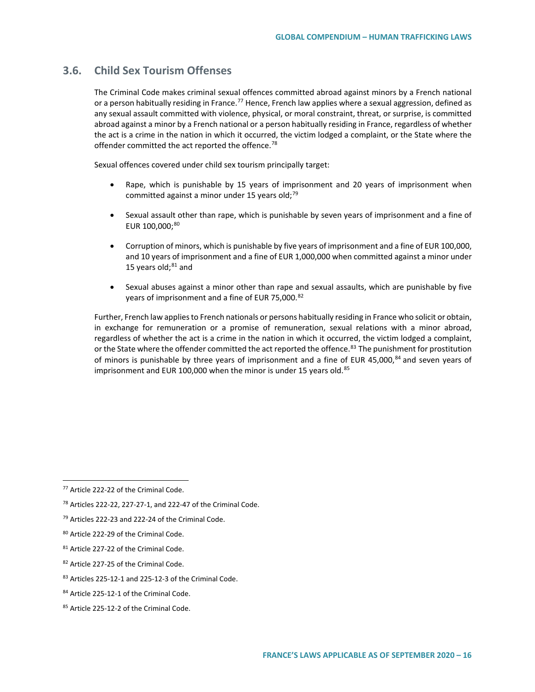# **3.6. Child Sex Tourism Offenses**

The Criminal Code makes criminal sexual offences committed abroad against minors by a French national or a person habitually residing in France.<sup>[77](#page-15-0)</sup> Hence, French law applies where a sexual aggression, defined as any sexual assault committed with violence, physical, or moral constraint, threat, or surprise, is committed abroad against a minor by a French national or a person habitually residing in France, regardless of whether the act is a crime in the nation in which it occurred, the victim lodged a complaint, or the State where the offender committed the act reported the offence.<sup>[78](#page-15-1)</sup>

Sexual offences covered under child sex tourism principally target:

- Rape, which is punishable by 15 years of imprisonment and 20 years of imprisonment when committed against a minor under 15 years old; $79$
- Sexual assault other than rape, which is punishable by seven years of imprisonment and a fine of EUR 100,000;[80](#page-15-3)
- Corruption of minors, which is punishable by five years of imprisonment and a fine of EUR 100,000, and 10 years of imprisonment and a fine of EUR 1,000,000 when committed against a minor under 15 years old; $81$  and
- Sexual abuses against a minor other than rape and sexual assaults, which are punishable by five years of imprisonment and a fine of EUR 75,000.[82](#page-15-5)

Further, French law applies to French nationals or persons habitually residing in France who solicit or obtain, in exchange for remuneration or a promise of remuneration, sexual relations with a minor abroad, regardless of whether the act is a crime in the nation in which it occurred, the victim lodged a complaint, or the State where the offender committed the act reported the offence.<sup>[83](#page-15-6)</sup> The punishment for prostitution of minors is punishable by three years of imprisonment and a fine of EUR 45,000,<sup>[84](#page-15-7)</sup> and seven years of imprisonment and EUR 100,000 when the minor is under 15 years old.<sup>[85](#page-15-8)</sup>

- <span id="page-15-5"></span>82 Article 227-25 of the Criminal Code.
- <span id="page-15-6"></span>83 Articles 225-12-1 and 225-12-3 of the Criminal Code.
- <span id="page-15-7"></span>84 Article 225-12-1 of the Criminal Code.

<span id="page-15-0"></span> <sup>77</sup> Article 222-22 of the Criminal Code.

<span id="page-15-1"></span><sup>78</sup> Articles 222-22, 227-27-1, and 222-47 of the Criminal Code.

<span id="page-15-2"></span><sup>79</sup> Articles 222-23 and 222-24 of the Criminal Code.

<span id="page-15-3"></span><sup>80</sup> Article 222-29 of the Criminal Code.

<span id="page-15-4"></span><sup>81</sup> Article 227-22 of the Criminal Code.

<span id="page-15-8"></span><sup>85</sup> Article 225-12-2 of the Criminal Code.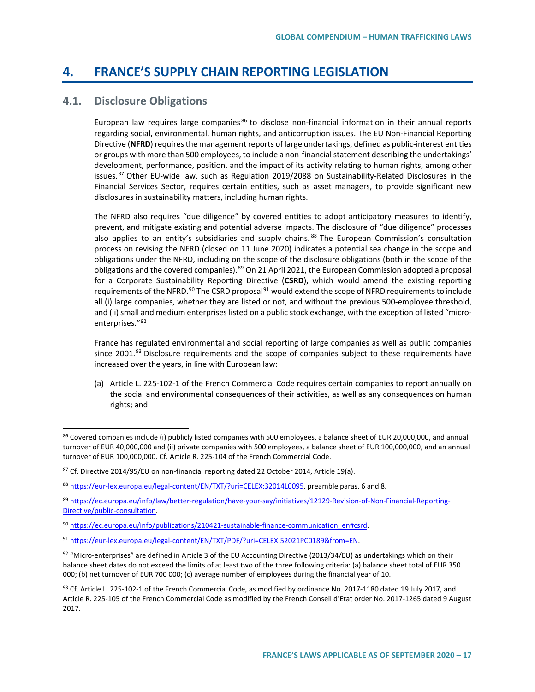# **4. FRANCE'S SUPPLY CHAIN REPORTING LEGISLATION**

# **4.1. Disclosure Obligations**

European law requires large companies<sup>[86](#page-16-0)</sup> to disclose non-financial information in their annual reports regarding social, environmental, human rights, and anticorruption issues. The EU Non-Financial Reporting Directive (**NFRD**) requires the management reports of large undertakings, defined as public-interest entities or groups with more than 500 employees, to include a non-financial statement describing the undertakings' development, performance, position, and the impact of its activity relating to human rights, among other issues.<sup>[87](#page-16-1)</sup> Other EU-wide law, such as Regulation 2019/2088 on Sustainability-Related Disclosures in the Financial Services Sector, requires certain entities, such as asset managers, to provide significant new disclosures in sustainability matters, including human rights.

The NFRD also requires "due diligence" by covered entities to adopt anticipatory measures to identify, prevent, and mitigate existing and potential adverse impacts. The disclosure of "due diligence" processes also applies to an entity's subsidiaries and supply chains. <sup>[88](#page-16-2)</sup> The European Commission's consultation process on revising the NFRD (closed on 11 June 2020) indicates a potential sea change in the scope and obligations under the NFRD, including on the scope of the disclosure obligations (both in the scope of the obligations and the covered companies).<sup>[89](#page-16-3)</sup> On 21 April 2021, the European Commission adopted a proposal for a Corporate Sustainability Reporting Directive (**CSRD**), which would amend the existing reporting requirements of the NFRD.<sup>[90](#page-16-4)</sup> The CSRD proposal<sup>[91](#page-16-5)</sup> would extend the scope of NFRD requirements to include all (i) large companies, whether they are listed or not, and without the previous 500-employee threshold, and (ii) small and medium enterprises listed on a public stock exchange, with the exception of listed "microenterprises."[92](#page-16-6)

France has regulated environmental and social reporting of large companies as well as public companies since  $2001.<sup>93</sup>$  $2001.<sup>93</sup>$  $2001.<sup>93</sup>$  Disclosure requirements and the scope of companies subject to these requirements have increased over the years, in line with European law:

(a) Article L. 225-102-1 of the French Commercial Code requires certain companies to report annually on the social and environmental consequences of their activities, as well as any consequences on human rights; and

<span id="page-16-0"></span><sup>86</sup> Covered companies include (i) publicly listed companies with 500 employees, a balance sheet of EUR 20,000,000, and annual turnover of EUR 40,000,000 and (ii) private companies with 500 employees, a balance sheet of EUR 100,000,000, and an annual turnover of EUR 100,000,000. Cf. Article R. 225-104 of the French Commercial Code.

<span id="page-16-1"></span><sup>87</sup> Cf. Directive 2014/95/EU on non-financial reporting dated 22 October 2014, Article 19(a).

<span id="page-16-2"></span><sup>88</sup> [https://eur-lex.europa.eu/legal-content/EN/TXT/?uri=CELEX:32014L0095,](https://eur-lex.europa.eu/legal-content/EN/TXT/?uri=CELEX:32014L0095) preamble paras. 6 and 8.

<span id="page-16-3"></span><sup>89</sup> [https://ec.europa.eu/info/law/better-regulation/have-your-say/initiatives/12129-Revision-of-Non-Financial-Reporting-](https://ec.europa.eu/info/law/better-regulation/have-your-say/initiatives/12129-Revision-of-Non-Financial-Reporting-Directive/public-consultation)[Directive/public-consultation.](https://ec.europa.eu/info/law/better-regulation/have-your-say/initiatives/12129-Revision-of-Non-Financial-Reporting-Directive/public-consultation)

<span id="page-16-4"></span><sup>90</sup> [https://ec.europa.eu/info/publications/210421-sustainable-finance-communication\\_en#csrd.](https://ec.europa.eu/info/publications/210421-sustainable-finance-communication_en#csrd)

<span id="page-16-5"></span><sup>91</sup> [https://eur-lex.europa.eu/legal-content/EN/TXT/PDF/?uri=CELEX:52021PC0189&from=EN.](https://eur-lex.europa.eu/legal-content/EN/TXT/PDF/?uri=CELEX:52021PC0189&from=EN)

<span id="page-16-6"></span> $92$  "Micro-enterprises" are defined in Article 3 of the EU Accounting Directive (2013/34/EU) as undertakings which on their balance sheet dates do not exceed the limits of at least two of the three following criteria: (a) balance sheet total of EUR 350 000; (b) net turnover of EUR 700 000; (c) average number of employees during the financial year of 10.

<span id="page-16-7"></span><sup>93</sup> Cf. Article L. 225-102-1 of the French Commercial Code, as modified by ordinance No. 2017-1180 dated 19 July 2017, and Article R. 225-105 of the French Commercial Code as modified by the French Conseil d'Etat order No. 2017-1265 dated 9 August 2017.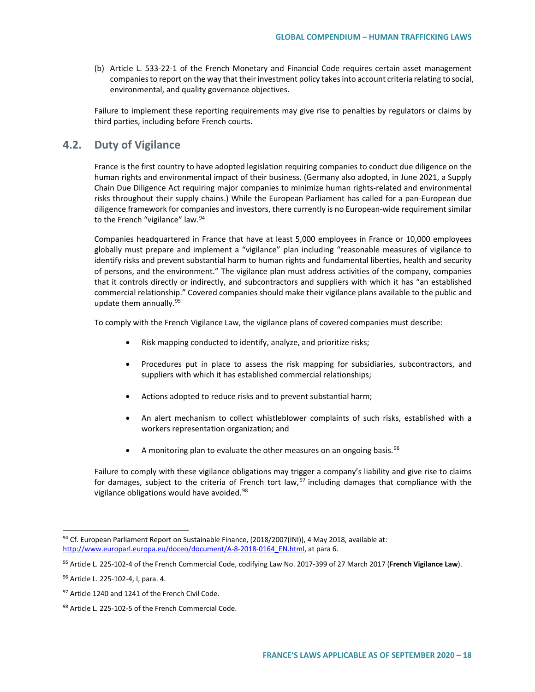(b) Article L. 533-22-1 of the French Monetary and Financial Code requires certain asset management companies to report on the way that their investment policy takes into account criteria relating to social, environmental, and quality governance objectives.

Failure to implement these reporting requirements may give rise to penalties by regulators or claims by third parties, including before French courts.

# **4.2. Duty of Vigilance**

France is the first country to have adopted legislation requiring companies to conduct due diligence on the human rights and environmental impact of their business. (Germany also adopted, in June 2021, a Supply Chain Due Diligence Act requiring major companies to minimize human rights-related and environmental risks throughout their supply chains.) While the European Parliament has called for a pan-European due diligence framework for companies and investors, there currently is no European-wide requirement similar to the French "vigilance" law.<sup>[94](#page-17-0)</sup>

Companies headquartered in France that have at least 5,000 employees in France or 10,000 employees globally must prepare and implement a "vigilance" plan including "reasonable measures of vigilance to identify risks and prevent substantial harm to human rights and fundamental liberties, health and security of persons, and the environment." The vigilance plan must address activities of the company, companies that it controls directly or indirectly, and subcontractors and suppliers with which it has "an established commercial relationship." Covered companies should make their vigilance plans available to the public and update them annually.[95](#page-17-1)

To comply with the French Vigilance Law, the vigilance plans of covered companies must describe:

- Risk mapping conducted to identify, analyze, and prioritize risks;
- Procedures put in place to assess the risk mapping for subsidiaries, subcontractors, and suppliers with which it has established commercial relationships;
- Actions adopted to reduce risks and to prevent substantial harm;
- An alert mechanism to collect whistleblower complaints of such risks, established with a workers representation organization; and
- A monitoring plan to evaluate the other measures on an ongoing basis.<sup>[96](#page-17-2)</sup>

Failure to comply with these vigilance obligations may trigger a company's liability and give rise to claims for damages, subject to the criteria of French tort law,<sup>[97](#page-17-3)</sup> including damages that compliance with the vigilance obligations would have avoided.<sup>[98](#page-17-4)</sup>

<span id="page-17-0"></span><sup>94</sup> Cf. European Parliament Report on Sustainable Finance, (2018/2007(INI)), 4 May 2018, available at: [http://www.europarl.europa.eu/doceo/document/A-8-2018-0164\\_EN.html,](http://www.europarl.europa.eu/doceo/document/A-8-2018-0164_EN.html) at para 6.

<span id="page-17-1"></span><sup>95</sup> Article L. 225-102-4 of the French Commercial Code, codifying Law No. 2017-399 of 27 March 2017 (**French Vigilance Law**).

<span id="page-17-2"></span><sup>96</sup> Article L. 225-102-4, I, para. 4.

<span id="page-17-3"></span><sup>&</sup>lt;sup>97</sup> Article 1240 and 1241 of the French Civil Code.

<span id="page-17-4"></span><sup>98</sup> Article L. 225-102-5 of the French Commercial Code.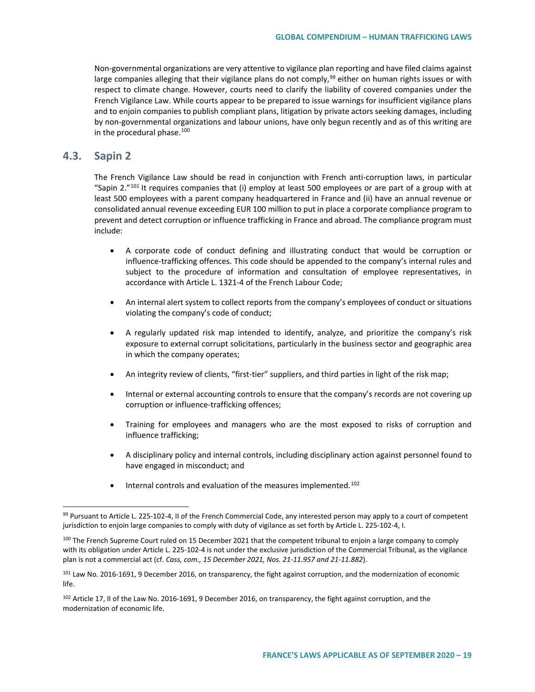Non-governmental organizations are very attentive to vigilance plan reporting and have filed claims against large companies alleging that their vigilance plans do not comply,<sup>[99](#page-18-0)</sup> either on human rights issues or with respect to climate change. However, courts need to clarify the liability of covered companies under the French Vigilance Law. While courts appear to be prepared to issue warnings for insufficient vigilance plans and to enjoin companies to publish compliant plans, litigation by private actors seeking damages, including by non-governmental organizations and labour unions, have only begun recently and as of this writing are in the procedural phase. $100$ 

## **4.3. Sapin 2**

The French Vigilance Law should be read in conjunction with French anti-corruption laws, in particular "Sapin 2. $"^{101}$  $"^{101}$  $"^{101}$  It requires companies that (i) employ at least 500 employees or are part of a group with at least 500 employees with a parent company headquartered in France and (ii) have an annual revenue or consolidated annual revenue exceeding EUR 100 million to put in place a corporate compliance program to prevent and detect corruption or influence trafficking in France and abroad. The compliance program must include:

- A corporate code of conduct defining and illustrating conduct that would be corruption or influence-trafficking offences. This code should be appended to the company's internal rules and subject to the procedure of information and consultation of employee representatives, in accordance with Article L. 1321-4 of the French Labour Code;
- An internal alert system to collect reports from the company's employees of conduct or situations violating the company's code of conduct;
- A regularly updated risk map intended to identify, analyze, and prioritize the company's risk exposure to external corrupt solicitations, particularly in the business sector and geographic area in which the company operates;
- An integrity review of clients, "first-tier" suppliers, and third parties in light of the risk map;
- Internal or external accounting controls to ensure that the company's records are not covering up corruption or influence-trafficking offences;
- Training for employees and managers who are the most exposed to risks of corruption and influence trafficking;
- A disciplinary policy and internal controls, including disciplinary action against personnel found to have engaged in misconduct; and
- Internal controls and evaluation of the measures implemented.<sup>[102](#page-18-3)</sup>

<span id="page-18-0"></span> $99$  Pursuant to Article L. 225-102-4, II of the French Commercial Code, any interested person may apply to a court of competent jurisdiction to enjoin large companies to comply with duty of vigilance as set forth by Article L. 225-102-4, I.

<span id="page-18-1"></span><sup>&</sup>lt;sup>100</sup> The French Supreme Court ruled on 15 December 2021 that the competent tribunal to enjoin a large company to comply with its obligation under Article L. 225-102-4 is not under the exclusive jurisdiction of the Commercial Tribunal, as the vigilance plan is not a commercial act (cf. *Cass, com., 15 December 2021, Nos. 21-11.957 and 21-11.882*).

<span id="page-18-2"></span><sup>&</sup>lt;sup>101</sup> Law No. 2016-1691, 9 December 2016, on transparency, the fight against corruption, and the modernization of economic life.

<span id="page-18-3"></span><sup>102</sup> Article 17, II of the Law No. 2016-1691, 9 December 2016, on transparency, the fight against corruption, and the modernization of economic life.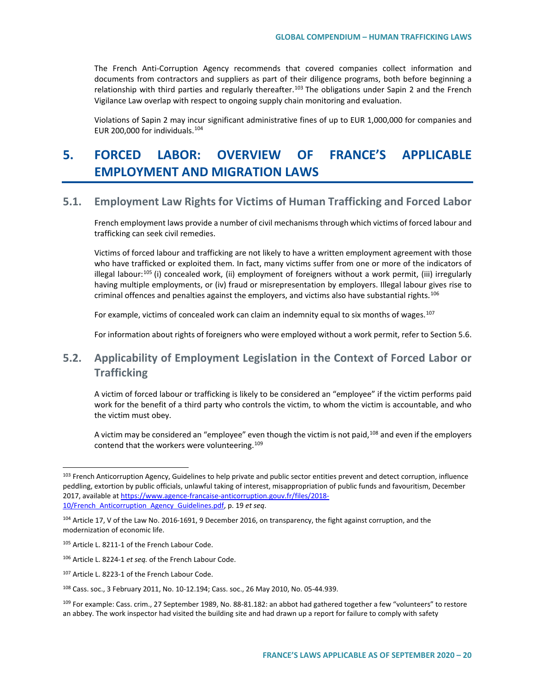The French Anti-Corruption Agency recommends that covered companies collect information and documents from contractors and suppliers as part of their diligence programs, both before beginning a relationship with third parties and regularly thereafter.<sup>[103](#page-19-0)</sup> The obligations under Sapin 2 and the French Vigilance Law overlap with respect to ongoing supply chain monitoring and evaluation.

Violations of Sapin 2 may incur significant administrative fines of up to EUR 1,000,000 for companies and EUR 200,000 for individuals.[104](#page-19-1)

# **5. FORCED LABOR: OVERVIEW OF FRANCE'S APPLICABLE EMPLOYMENT AND MIGRATION LAWS**

## **5.1. Employment Law Rights for Victims of Human Trafficking and Forced Labor**

French employment laws provide a number of civil mechanisms through which victims of forced labour and trafficking can seek civil remedies.

Victims of forced labour and trafficking are not likely to have a written employment agreement with those who have trafficked or exploited them. In fact, many victims suffer from one or more of the indicators of illegal labour:<sup>[105](#page-19-2)</sup> (i) concealed work, (ii) employment of foreigners without a work permit, (iii) irregularly having multiple employments, or (iv) fraud or misrepresentation by employers. Illegal labour gives rise to criminal offences and penalties against the employers, and victims also have substantial rights.<sup>[106](#page-19-3)</sup>

For example, victims of concealed work can claim an indemnity equal to six months of wages.<sup>[107](#page-19-4)</sup>

For information about rights of foreigners who were employed without a work permit, refer to Section 5.6.

# **5.2. Applicability of Employment Legislation in the Context of Forced Labor or Trafficking**

A victim of forced labour or trafficking is likely to be considered an "employee" if the victim performs paid work for the benefit of a third party who controls the victim, to whom the victim is accountable, and who the victim must obey.

A victim may be considered an "employee" even though the victim is not paid,<sup>[108](#page-19-5)</sup> and even if the employers contend that the workers were volunteering.<sup>[109](#page-19-6)</sup>

<span id="page-19-0"></span><sup>103</sup> French Anticorruption Agency, Guidelines to help private and public sector entities prevent and detect corruption, influence peddling, extortion by public officials, unlawful taking of interest, misappropriation of public funds and favouritism, December 2017, available a[t https://www.agence-francaise-anticorruption.gouv.fr/files/2018-](https://www.agence-francaise-anticorruption.gouv.fr/files/2018-10/French_Anticorruption_Agency_Guidelines.pdf) [10/French\\_Anticorruption\\_Agency\\_Guidelines.pdf,](https://www.agence-francaise-anticorruption.gouv.fr/files/2018-10/French_Anticorruption_Agency_Guidelines.pdf) p. 19 *et seq*.

<span id="page-19-1"></span><sup>104</sup> Article 17, V of the Law No. 2016-1691, 9 December 2016, on transparency, the fight against corruption, and the modernization of economic life.

<span id="page-19-2"></span><sup>105</sup> Article L. 8211-1 of the French Labour Code.

<span id="page-19-3"></span><sup>106</sup> Article L. 8224-1 *et seq.* of the French Labour Code.

<span id="page-19-4"></span><sup>107</sup> Article L. 8223-1 of the French Labour Code.

<span id="page-19-5"></span><sup>108</sup> Cass. soc., 3 February 2011, No. 10-12.194; Cass. soc., 26 May 2010, No. 05-44.939.

<span id="page-19-6"></span><sup>109</sup> For example: Cass. crim., 27 September 1989, No. 88-81.182: an abbot had gathered together a few "volunteers" to restore an abbey. The work inspector had visited the building site and had drawn up a report for failure to comply with safety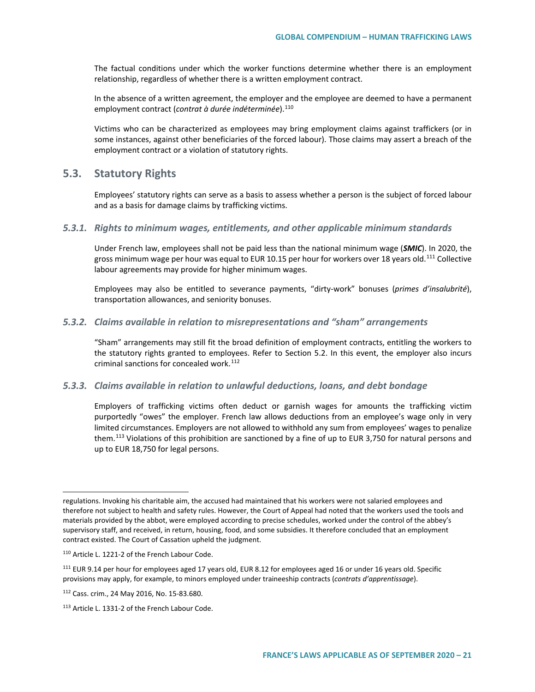The factual conditions under which the worker functions determine whether there is an employment relationship, regardless of whether there is a written employment contract.

In the absence of a written agreement, the employer and the employee are deemed to have a permanent employment contract (contrat à durée indéterminée).<sup>[110](#page-20-0)</sup>

Victims who can be characterized as employees may bring employment claims against traffickers (or in some instances, against other beneficiaries of the forced labour). Those claims may assert a breach of the employment contract or a violation of statutory rights.

## **5.3. Statutory Rights**

Employees' statutory rights can serve as a basis to assess whether a person is the subject of forced labour and as a basis for damage claims by trafficking victims.

#### *5.3.1. Rights to minimum wages, entitlements, and other applicable minimum standards*

Under French law, employees shall not be paid less than the national minimum wage (*SMIC*). In 2020, the gross minimum wage per hour was equal to EUR 10.15 per hour for workers over 18 years old.<sup>[111](#page-20-1)</sup> Collective labour agreements may provide for higher minimum wages.

Employees may also be entitled to severance payments, "dirty-work" bonuses (*primes d'insalubrité*), transportation allowances, and seniority bonuses.

### *5.3.2. Claims available in relation to misrepresentations and "sham" arrangements*

"Sham" arrangements may still fit the broad definition of employment contracts, entitling the workers to the statutory rights granted to employees. Refer to Section 5.2. In this event, the employer also incurs criminal sanctions for concealed work.<sup>[112](#page-20-2)</sup>

### *5.3.3. Claims available in relation to unlawful deductions, loans, and debt bondage*

Employers of trafficking victims often deduct or garnish wages for amounts the trafficking victim purportedly "owes" the employer. French law allows deductions from an employee's wage only in very limited circumstances. Employers are not allowed to withhold any sum from employees' wages to penalize them.<sup>[113](#page-20-3)</sup> Violations of this prohibition are sanctioned by a fine of up to EUR 3,750 for natural persons and up to EUR 18,750 for legal persons.

 $\overline{a}$ 

regulations. Invoking his charitable aim, the accused had maintained that his workers were not salaried employees and therefore not subject to health and safety rules. However, the Court of Appeal had noted that the workers used the tools and materials provided by the abbot, were employed according to precise schedules, worked under the control of the abbey's supervisory staff, and received, in return, housing, food, and some subsidies. It therefore concluded that an employment contract existed. The Court of Cassation upheld the judgment.

<span id="page-20-0"></span><sup>110</sup> Article L. 1221-2 of the French Labour Code.

<span id="page-20-1"></span><sup>111</sup> EUR 9.14 per hour for employees aged 17 years old, EUR 8.12 for employees aged 16 or under 16 years old. Specific provisions may apply, for example, to minors employed under traineeship contracts (*contrats d'apprentissage*).

<span id="page-20-2"></span><sup>112</sup> Cass. crim., 24 May 2016, No. 15-83.680.

<span id="page-20-3"></span><sup>113</sup> Article L. 1331-2 of the French Labour Code.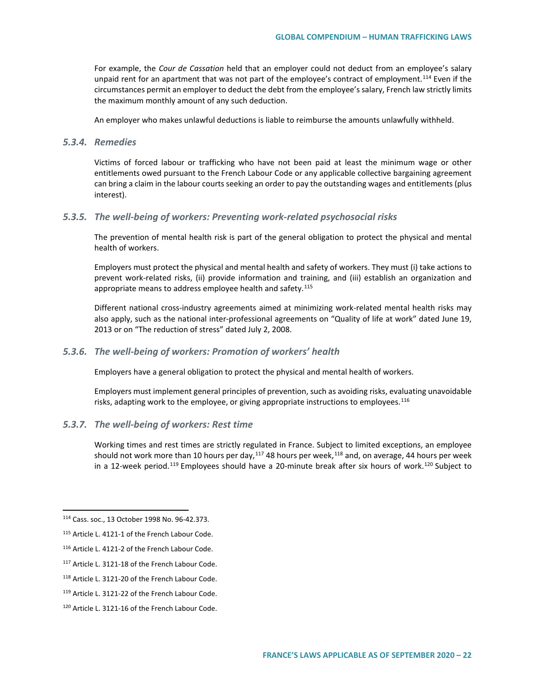For example, the *Cour de Cassation* held that an employer could not deduct from an employee's salary unpaid rent for an apartment that was not part of the employee's contract of employment.<sup>[114](#page-21-0)</sup> Even if the circumstances permit an employer to deduct the debt from the employee's salary, French law strictly limits the maximum monthly amount of any such deduction.

An employer who makes unlawful deductions is liable to reimburse the amounts unlawfully withheld.

### *5.3.4. Remedies*

Victims of forced labour or trafficking who have not been paid at least the minimum wage or other entitlements owed pursuant to the French Labour Code or any applicable collective bargaining agreement can bring a claim in the labour courts seeking an order to pay the outstanding wages and entitlements (plus interest).

### *5.3.5. The well-being of workers: Preventing work-related psychosocial risks*

The prevention of mental health risk is part of the general obligation to protect the physical and mental health of workers.

Employers must protect the physical and mental health and safety of workers. They must (i) take actions to prevent work-related risks, (ii) provide information and training, and (iii) establish an organization and appropriate means to address employee health and safety.<sup>[115](#page-21-1)</sup>

Different national cross-industry agreements aimed at minimizing work-related mental health risks may also apply, such as the national inter-professional agreements on "Quality of life at work" dated June 19, 2013 or on "The reduction of stress" dated July 2, 2008.

### *5.3.6. The well-being of workers: Promotion of workers' health*

Employers have a general obligation to protect the physical and mental health of workers.

Employers must implement general principles of prevention, such as avoiding risks, evaluating unavoidable risks, adapting work to the employee, or giving appropriate instructions to employees.<sup>[116](#page-21-2)</sup>

### *5.3.7. The well-being of workers: Rest time*

Working times and rest times are strictly regulated in France. Subject to limited exceptions, an employee should not work more than 10 hours per day,<sup>[117](#page-21-3)</sup> 48 hours per week,<sup>[118](#page-21-4)</sup> and, on average, 44 hours per week in a 12-week period.<sup>[119](#page-21-5)</sup> Employees should have a 20-minute break after six hours of work.<sup>[120](#page-21-6)</sup> Subject to

<span id="page-21-0"></span> <sup>114</sup> Cass. soc., 13 October 1998 No. 96-42.373.

<span id="page-21-1"></span><sup>115</sup> Article L. 4121-1 of the French Labour Code.

<span id="page-21-2"></span><sup>116</sup> Article L. 4121-2 of the French Labour Code.

<span id="page-21-3"></span><sup>117</sup> Article L. 3121-18 of the French Labour Code.

<span id="page-21-4"></span><sup>118</sup> Article L. 3121-20 of the French Labour Code.

<span id="page-21-5"></span><sup>119</sup> Article L. 3121-22 of the French Labour Code.

<span id="page-21-6"></span><sup>120</sup> Article L. 3121-16 of the French Labour Code.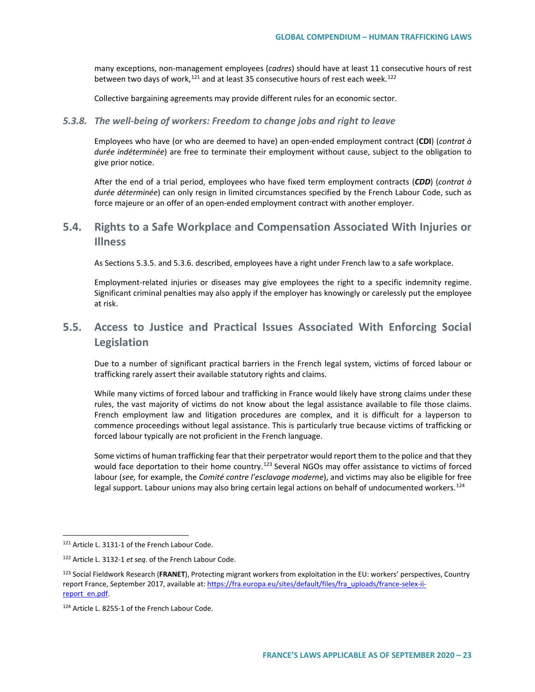many exceptions, non-management employees (*cadres*) should have at least 11 consecutive hours of rest between two days of work,<sup>[121](#page-22-0)</sup> and at least 35 consecutive hours of rest each week.<sup>[122](#page-22-1)</sup>

Collective bargaining agreements may provide different rules for an economic sector.

### *5.3.8. The well-being of workers: Freedom to change jobs and right to leave*

Employees who have (or who are deemed to have) an open-ended employment contract (**CDI**) (*contrat à durée indéterminée*) are free to terminate their employment without cause, subject to the obligation to give prior notice.

After the end of a trial period, employees who have fixed term employment contracts (*CDD*) (*contrat à durée déterminée*) can only resign in limited circumstances specified by the French Labour Code, such as force majeure or an offer of an open-ended employment contract with another employer.

# **5.4. Rights to a Safe Workplace and Compensation Associated With Injuries or Illness**

As Sections 5.3.5. and 5.3.6. described, employees have a right under French law to a safe workplace.

Employment-related injuries or diseases may give employees the right to a specific indemnity regime. Significant criminal penalties may also apply if the employer has knowingly or carelessly put the employee at risk.

# **5.5. Access to Justice and Practical Issues Associated With Enforcing Social Legislation**

Due to a number of significant practical barriers in the French legal system, victims of forced labour or trafficking rarely assert their available statutory rights and claims.

While many victims of forced labour and trafficking in France would likely have strong claims under these rules, the vast majority of victims do not know about the legal assistance available to file those claims. French employment law and litigation procedures are complex, and it is difficult for a layperson to commence proceedings without legal assistance. This is particularly true because victims of trafficking or forced labour typically are not proficient in the French language.

Some victims of human trafficking fear that their perpetrator would report them to the police and that they would face deportation to their home country.<sup>[123](#page-22-2)</sup> Several NGOs may offer assistance to victims of forced labour (*see,* for example, the *Comité contre l'esclavage moderne*), and victims may also be eligible for free legal support. Labour unions may also bring certain legal actions on behalf of undocumented workers.<sup>[124](#page-22-3)</sup>

<span id="page-22-0"></span><sup>121</sup> Article L. 3131-1 of the French Labour Code.

<span id="page-22-1"></span><sup>122</sup> Article L. 3132-1 *et seq*. of the French Labour Code.

<span id="page-22-2"></span><sup>123</sup> Social Fieldwork Research (**FRANET**), Protecting migrant workers from exploitation in the EU: workers' perspectives, Country report France, September 2017, available at[: https://fra.europa.eu/sites/default/files/fra\\_uploads/france-selex-ii](https://fra.europa.eu/sites/default/files/fra_uploads/france-selex-ii-report_en.pdf)[report\\_en.pdf.](https://fra.europa.eu/sites/default/files/fra_uploads/france-selex-ii-report_en.pdf)

<span id="page-22-3"></span><sup>124</sup> Article L. 8255-1 of the French Labour Code.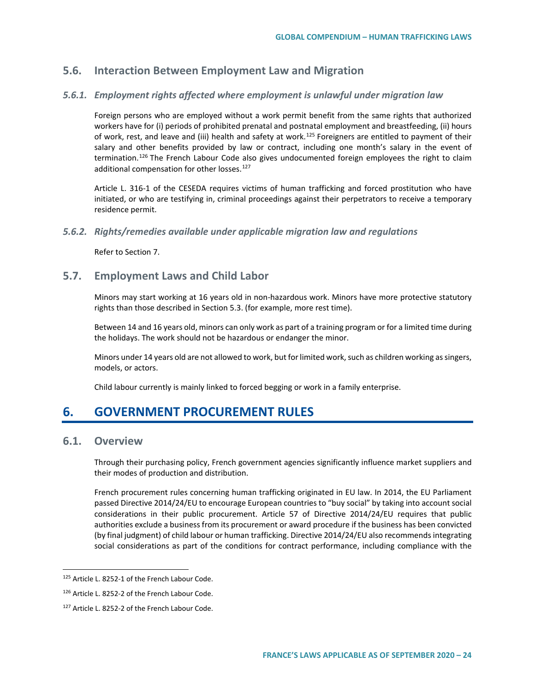# **5.6. Interaction Between Employment Law and Migration**

### *5.6.1. Employment rights affected where employment is unlawful under migration law*

Foreign persons who are employed without a work permit benefit from the same rights that authorized workers have for (i) periods of prohibited prenatal and postnatal employment and breastfeeding, (ii) hours of work, rest, and leave and (iii) health and safety at work.<sup>[125](#page-23-0)</sup> Foreigners are entitled to payment of their salary and other benefits provided by law or contract, including one month's salary in the event of termination.<sup>[126](#page-23-1)</sup> The French Labour Code also gives undocumented foreign employees the right to claim additional compensation for other losses.<sup>[127](#page-23-2)</sup>

Article L. 316-1 of the CESEDA requires victims of human trafficking and forced prostitution who have initiated, or who are testifying in, criminal proceedings against their perpetrators to receive a temporary residence permit.

### *5.6.2. Rights/remedies available under applicable migration law and regulations*

Refer to Section 7.

# **5.7. Employment Laws and Child Labor**

Minors may start working at 16 years old in non-hazardous work. Minors have more protective statutory rights than those described in Section 5.3. (for example, more rest time).

Between 14 and 16 years old, minors can only work as part of a training program or for a limited time during the holidays. The work should not be hazardous or endanger the minor.

Minors under 14 years old are not allowed to work, but for limited work, such as children working as singers, models, or actors.

Child labour currently is mainly linked to forced begging or work in a family enterprise.

# **6. GOVERNMENT PROCUREMENT RULES**

## **6.1. Overview**

Through their purchasing policy, French government agencies significantly influence market suppliers and their modes of production and distribution.

French procurement rules concerning human trafficking originated in EU law. In 2014, the EU Parliament passed Directive 2014/24/EU to encourage European countries to "buy social" by taking into account social considerations in their public procurement. Article 57 of Directive 2014/24/EU requires that public authorities exclude a business from its procurement or award procedure if the business has been convicted (by final judgment) of child labour or human trafficking. Directive 2014/24/EU also recommends integrating social considerations as part of the conditions for contract performance, including compliance with the

<span id="page-23-0"></span><sup>&</sup>lt;sup>125</sup> Article L. 8252-1 of the French Labour Code.

<span id="page-23-1"></span><sup>126</sup> Article L. 8252-2 of the French Labour Code.

<span id="page-23-2"></span><sup>127</sup> Article L. 8252-2 of the French Labour Code.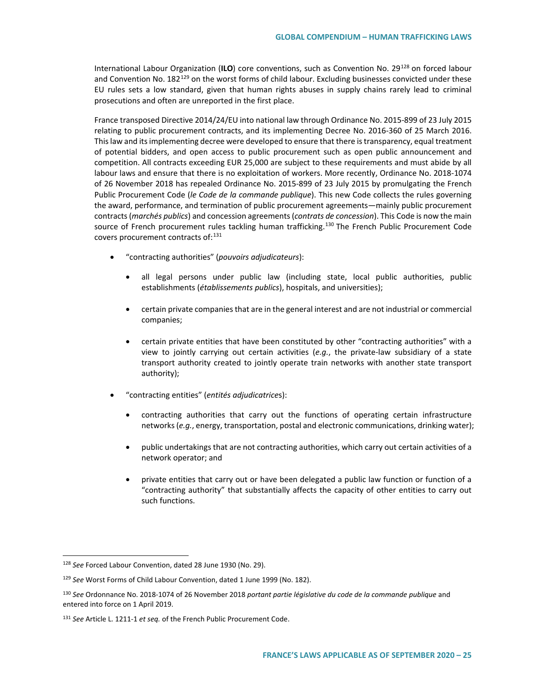International Labour Organization (**ILO**) core conventions, such as Convention No. 29[128](#page-24-0) on forced labour and Convention No.  $182^{129}$  $182^{129}$  $182^{129}$  on the worst forms of child labour. Excluding businesses convicted under these EU rules sets a low standard, given that human rights abuses in supply chains rarely lead to criminal prosecutions and often are unreported in the first place.

France transposed Directive 2014/24/EU into national law through Ordinance No. 2015-899 of 23 July 2015 relating to public procurement contracts, and its implementing Decree No. 2016-360 of 25 March 2016. This law and its implementing decree were developed to ensure that there is transparency, equal treatment of potential bidders, and open access to public procurement such as open public announcement and competition. All contracts exceeding EUR 25,000 are subject to these requirements and must abide by all labour laws and ensure that there is no exploitation of workers. More recently, Ordinance No. 2018-1074 of 26 November 2018 has repealed Ordinance No. 2015-899 of 23 July 2015 by promulgating the French Public Procurement Code (*le Code de la commande publique*). This new Code collects the rules governing the award, performance, and termination of public procurement agreements—mainly public procurement contracts (*marchés publics*) and concession agreements (*contrats de concession*). This Code is now the main source of French procurement rules tackling human trafficking.<sup>130</sup> The French Public Procurement Code covers procurement contracts of:[131](#page-24-3)

- "contracting authorities" (*pouvoirs adjudicateurs*):
	- all legal persons under public law (including state, local public authorities, public establishments (*établissements publics*), hospitals, and universities);
	- certain private companiesthat are in the general interest and are not industrial or commercial companies;
	- certain private entities that have been constituted by other "contracting authorities" with a view to jointly carrying out certain activities (*e.g.*, the private-law subsidiary of a state transport authority created to jointly operate train networks with another state transport authority);
- "contracting entities" (*entités adjudicatrice*s):
	- contracting authorities that carry out the functions of operating certain infrastructure networks (*e.g.*, energy, transportation, postal and electronic communications, drinking water);
	- public undertakings that are not contracting authorities, which carry out certain activities of a network operator; and
	- private entities that carry out or have been delegated a public law function or function of a "contracting authority" that substantially affects the capacity of other entities to carry out such functions.

<span id="page-24-0"></span> <sup>128</sup> *See* Forced Labour Convention, dated 28 June 1930 (No. 29).

<span id="page-24-1"></span><sup>129</sup> *See* Worst Forms of Child Labour Convention, dated 1 June 1999 (No. 182).

<span id="page-24-2"></span><sup>130</sup> *See* Ordonnance No. 2018-1074 of 26 November 2018 *portant partie législative du code de la commande publique* and entered into force on 1 April 2019.

<span id="page-24-3"></span><sup>131</sup> *See* Article L. 1211-1 *et seq.* of the French Public Procurement Code.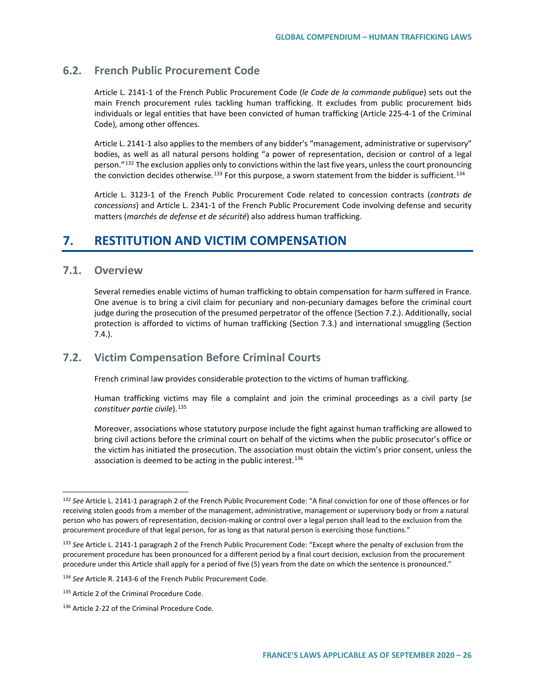# **6.2. French Public Procurement Code**

Article L. 2141-1 of the French Public Procurement Code (*le Code de la commande publique*) sets out the main French procurement rules tackling human trafficking. It excludes from public procurement bids individuals or legal entities that have been convicted of human trafficking (Article 225-4-1 of the Criminal Code), among other offences.

Article L. 2141-1 also applies to the members of any bidder's "management, administrative or supervisory" bodies, as well as all natural persons holding "a power of representation, decision or control of a legal person."<sup>[132](#page-25-0)</sup> The exclusion applies only to convictions within the last five years, unless the court pronouncing the conviction decides otherwise.<sup>[133](#page-25-1)</sup> For this purpose, a sworn statement from the bidder is sufficient.<sup>[134](#page-25-2)</sup>

Article L. 3123-1 of the French Public Procurement Code related to concession contracts (*contrats de concessions*) and Article L. 2341-1 of the French Public Procurement Code involving defense and security matters (*marchés de defense et de sécurité*) also address human trafficking.

# **7. RESTITUTION AND VICTIM COMPENSATION**

### **7.1. Overview**

Several remedies enable victims of human trafficking to obtain compensation for harm suffered in France. One avenue is to bring a civil claim for pecuniary and non-pecuniary damages before the criminal court judge during the prosecution of the presumed perpetrator of the offence (Section 7.2.). Additionally, social protection is afforded to victims of human trafficking (Section 7.3.) and international smuggling (Section 7.4.).

## **7.2. Victim Compensation Before Criminal Courts**

French criminal law provides considerable protection to the victims of human trafficking.

Human trafficking victims may file a complaint and join the criminal proceedings as a civil party (*se constituer partie civile*).[135](#page-25-3)

Moreover, associations whose statutory purpose include the fight against human trafficking are allowed to bring civil actions before the criminal court on behalf of the victims when the public prosecutor's office or the victim has initiated the prosecution. The association must obtain the victim's prior consent, unless the association is deemed to be acting in the public interest.<sup>[136](#page-25-4)</sup>

<span id="page-25-0"></span> <sup>132</sup> *See* Article L. 2141-1 paragraph 2 of the French Public Procurement Code: "A final conviction for one of those offences or for receiving stolen goods from a member of the management, administrative, management or supervisory body or from a natural person who has powers of representation, decision-making or control over a legal person shall lead to the exclusion from the procurement procedure of that legal person, for as long as that natural person is exercising those functions."

<span id="page-25-1"></span><sup>133</sup> *See* Article L. 2141-1 paragraph 2 of the French Public Procurement Code: "Except where the penalty of exclusion from the procurement procedure has been pronounced for a different period by a final court decision, exclusion from the procurement procedure under this Article shall apply for a period of five (5) years from the date on which the sentence is pronounced."

<span id="page-25-2"></span><sup>134</sup> *See* Article R. 2143-6 of the French Public Procurement Code.

<span id="page-25-3"></span><sup>135</sup> Article 2 of the Criminal Procedure Code.

<span id="page-25-4"></span><sup>136</sup> Article 2-22 of the Criminal Procedure Code.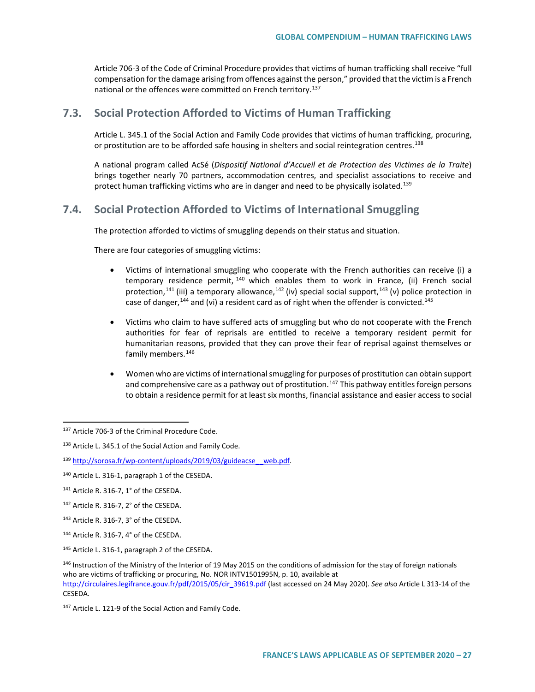Article 706-3 of the Code of Criminal Procedure provides that victims of human trafficking shall receive "full compensation for the damage arising from offences against the person," provided that the victim is a French national or the offences were committed on French territory.<sup>[137](#page-26-0)</sup>

### **7.3. Social Protection Afforded to Victims of Human Trafficking**

Article L. 345.1 of the Social Action and Family Code provides that victims of human trafficking, procuring, or prostitution are to be afforded safe housing in shelters and social reintegration centres.<sup>[138](#page-26-1)</sup>

A national program called AcSé (*Dispositif National d'Accueil et de Protection des Victimes de la Traite*) brings together nearly 70 partners, accommodation centres, and specialist associations to receive and protect human trafficking victims who are in danger and need to be physically isolated.<sup>[139](#page-26-2)</sup>

# **7.4. Social Protection Afforded to Victims of International Smuggling**

The protection afforded to victims of smuggling depends on their status and situation.

There are four categories of smuggling victims:

- Victims of international smuggling who cooperate with the French authorities can receive (i) a temporary residence permit,  $140$  which enables them to work in France, (ii) French social protection,<sup>[141](#page-26-4)</sup> (iii) a temporary allowance,<sup>[142](#page-26-5)</sup> (iv) special social support,<sup>[143](#page-26-6)</sup> (v) police protection in case of danger,  $^{144}$  $^{144}$  $^{144}$  and (vi) a resident card as of right when the offender is convicted.<sup>[145](#page-26-8)</sup>
- Victims who claim to have suffered acts of smuggling but who do not cooperate with the French authorities for fear of reprisals are entitled to receive a temporary resident permit for humanitarian reasons, provided that they can prove their fear of reprisal against themselves or family members.<sup>[146](#page-26-9)</sup>
- Women who are victims of international smuggling for purposes of prostitution can obtain support and comprehensive care as a pathway out of prostitution.<sup>[147](#page-26-10)</sup> This pathway entitles foreign persons to obtain a residence permit for at least six months, financial assistance and easier access to social

<span id="page-26-0"></span><sup>137</sup> Article 706-3 of the Criminal Procedure Code.

<span id="page-26-1"></span><sup>138</sup> Article L. 345.1 of the Social Action and Family Code.

<span id="page-26-2"></span><sup>139</sup> [http://sorosa.fr/wp-content/uploads/2019/03/guideacse\\_\\_web.pdf.](http://sorosa.fr/wp-content/uploads/2019/03/guideacse__web.pdf) 

<span id="page-26-3"></span><sup>140</sup> Article L. 316-1, paragraph 1 of the CESEDA.

<span id="page-26-4"></span><sup>141</sup> Article R. 316-7, 1° of the CESEDA.

<span id="page-26-5"></span><sup>142</sup> Article R. 316-7, 2° of the CESEDA.

<span id="page-26-6"></span><sup>143</sup> Article R. 316-7, 3° of the CESEDA.

<span id="page-26-7"></span><sup>144</sup> Article R. 316-7, 4° of the CESEDA.

<span id="page-26-8"></span><sup>145</sup> Article L. 316-1, paragraph 2 of the CESEDA.

<span id="page-26-9"></span><sup>&</sup>lt;sup>146</sup> Instruction of the Ministry of the Interior of 19 May 2015 on the conditions of admission for the stay of foreign nationals who are victims of trafficking or procuring, No. NOR INTV1501995N, p. 10, available at [http://circulaires.legifrance.gouv.fr/pdf/2015/05/cir\\_39619.pdf](http://circulaires.legifrance.gouv.fr/pdf/2015/05/cir_39619.pdf) (last accessed on 24 May 2020). *See al*so Article L 313-14 of the CESEDA.

<span id="page-26-10"></span><sup>&</sup>lt;sup>147</sup> Article L. 121-9 of the Social Action and Family Code.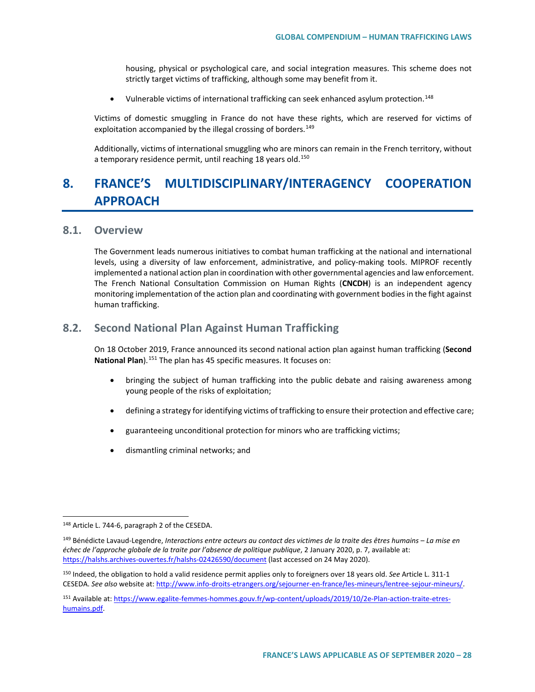housing, physical or psychological care, and social integration measures. This scheme does not strictly target victims of trafficking, although some may benefit from it.

• Vulnerable victims of international trafficking can seek enhanced asylum protection.<sup>[148](#page-27-0)</sup>

Victims of domestic smuggling in France do not have these rights, which are reserved for victims of exploitation accompanied by the illegal crossing of borders.<sup>[149](#page-27-1)</sup>

Additionally, victims of international smuggling who are minors can remain in the French territory, without a temporary residence permit, until reaching 18 years old.<sup>[150](#page-27-2)</sup>

# **8. FRANCE'S MULTIDISCIPLINARY/INTERAGENCY COOPERATION APPROACH**

### **8.1. Overview**

The Government leads numerous initiatives to combat human trafficking at the national and international levels, using a diversity of law enforcement, administrative, and policy-making tools. MIPROF recently implemented a national action plan in coordination with other governmental agencies and law enforcement. The French National Consultation Commission on Human Rights (**CNCDH**) is an independent agency monitoring implementation of the action plan and coordinating with government bodies in the fight against human trafficking.

# **8.2. Second National Plan Against Human Trafficking**

On 18 October 2019, France announced its second national action plan against human trafficking (**Second**  National Plan).<sup>[151](#page-27-3)</sup> The plan has 45 specific measures. It focuses on:

- bringing the subject of human trafficking into the public debate and raising awareness among young people of the risks of exploitation;
- defining a strategy for identifying victims of trafficking to ensure their protection and effective care;
- guaranteeing unconditional protection for minors who are trafficking victims;
- dismantling criminal networks; and

<span id="page-27-0"></span> <sup>148</sup> Article L. 744-6, paragraph 2 of the CESEDA.

<span id="page-27-1"></span><sup>149</sup> Bénédicte Lavaud-Legendre, *Interactions entre acteurs au contact des victimes de la traite des êtres humains – La mise en échec de l'approche globale de la traite par l'absence de politique publique*, 2 January 2020, p. 7, available at: <https://halshs.archives-ouvertes.fr/halshs-02426590/document> (last accessed on 24 May 2020).

<span id="page-27-2"></span><sup>150</sup> Indeed, the obligation to hold a valid residence permit applies only to foreigners over 18 years old. *See* Article L. 311-1 CESEDA. *See also* website at: [http://www.info-droits-etrangers.org/sejourner-en-france/les-mineurs/lentree-sejour-mineurs/.](http://www.info-droits-etrangers.org/sejourner-en-france/les-mineurs/lentree-sejour-mineurs/)

<span id="page-27-3"></span><sup>151</sup> Available at[: https://www.egalite-femmes-hommes.gouv.fr/wp-content/uploads/2019/10/2e-Plan-action-traite-etres](https://www.egalite-femmes-hommes.gouv.fr/wp-content/uploads/2019/10/2e-Plan-action-traite-etres-humains.pdf)[humains.pdf.](https://www.egalite-femmes-hommes.gouv.fr/wp-content/uploads/2019/10/2e-Plan-action-traite-etres-humains.pdf)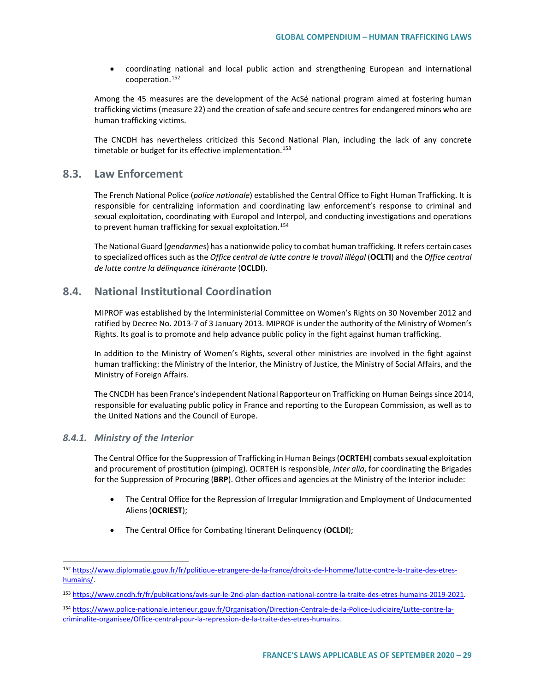• coordinating national and local public action and strengthening European and international cooperation[.152](#page-28-0)

Among the 45 measures are the development of the AcSé national program aimed at fostering human trafficking victims (measure 22) and the creation of safe and secure centres for endangered minors who are human trafficking victims.

The CNCDH has nevertheless criticized this Second National Plan, including the lack of any concrete timetable or budget for its effective implementation.<sup>[153](#page-28-1)</sup>

### **8.3. Law Enforcement**

The French National Police (*police nationale*) established the Central Office to Fight Human Trafficking. It is responsible for centralizing information and coordinating law enforcement's response to criminal and sexual exploitation, coordinating with Europol and Interpol, and conducting investigations and operations to prevent human trafficking for sexual exploitation.<sup>[154](#page-28-2)</sup>

The National Guard (*gendarmes*) has a nationwide policy to combat human trafficking. It refers certain cases to specialized offices such as the *Office central de lutte contre le travail illégal* (**OCLTI**) and the *Office central de lutte contre la délinquance itinérante* (**OCLDI**).

### **8.4. National Institutional Coordination**

MIPROF was established by the Interministerial Committee on Women's Rights on 30 November 2012 and ratified by Decree No. 2013-7 of 3 January 2013. MIPROF is under the authority of the Ministry of Women's Rights. Its goal is to promote and help advance public policy in the fight against human trafficking.

In addition to the Ministry of Women's Rights, several other ministries are involved in the fight against human trafficking: the Ministry of the Interior, the Ministry of Justice, the Ministry of Social Affairs, and the Ministry of Foreign Affairs.

The CNCDH has been France's independent National Rapporteur on Trafficking on Human Beings since 2014, responsible for evaluating public policy in France and reporting to the European Commission, as well as to the United Nations and the Council of Europe.

### *8.4.1. Ministry of the Interior*

The Central Office for the Suppression of Trafficking in Human Beings (**OCRTEH**) combats sexual exploitation and procurement of prostitution (pimping). OCRTEH is responsible, *inter alia*, for coordinating the Brigades for the Suppression of Procuring (**BRP**). Other offices and agencies at the Ministry of the Interior include:

- The Central Office for the Repression of Irregular Immigration and Employment of Undocumented Aliens (**OCRIEST**);
- The Central Office for Combating Itinerant Delinquency (**OCLDI**);

<span id="page-28-0"></span> <sup>152</sup> [https://www.diplomatie.gouv.fr/fr/politique-etrangere-de-la-france/droits-de-l-homme/lutte-contre-la-traite-des-etres](https://www.diplomatie.gouv.fr/fr/politique-etrangere-de-la-france/droits-de-l-homme/lutte-contre-la-traite-des-etres-humains/)[humains/.](https://www.diplomatie.gouv.fr/fr/politique-etrangere-de-la-france/droits-de-l-homme/lutte-contre-la-traite-des-etres-humains/)

<span id="page-28-1"></span><sup>153</sup> [https://www.cncdh.fr/fr/publications/avis-sur-le-2nd-plan-daction-national-contre-la-traite-des-etres-humains-2019-2021.](https://www.cncdh.fr/fr/publications/avis-sur-le-2nd-plan-daction-national-contre-la-traite-des-etres-humains-2019-2021)

<span id="page-28-2"></span><sup>154</sup> [https://www.police-nationale.interieur.gouv.fr/Organisation/Direction-Centrale-de-la-Police-Judiciaire/Lutte-contre-la](https://www.police-nationale.interieur.gouv.fr/Organisation/Direction-Centrale-de-la-Police-Judiciaire/Lutte-contre-la-criminalite-organisee/Office-central-pour-la-repression-de-la-traite-des-etres-humains)[criminalite-organisee/Office-central-pour-la-repression-de-la-traite-des-etres-humains.](https://www.police-nationale.interieur.gouv.fr/Organisation/Direction-Centrale-de-la-Police-Judiciaire/Lutte-contre-la-criminalite-organisee/Office-central-pour-la-repression-de-la-traite-des-etres-humains)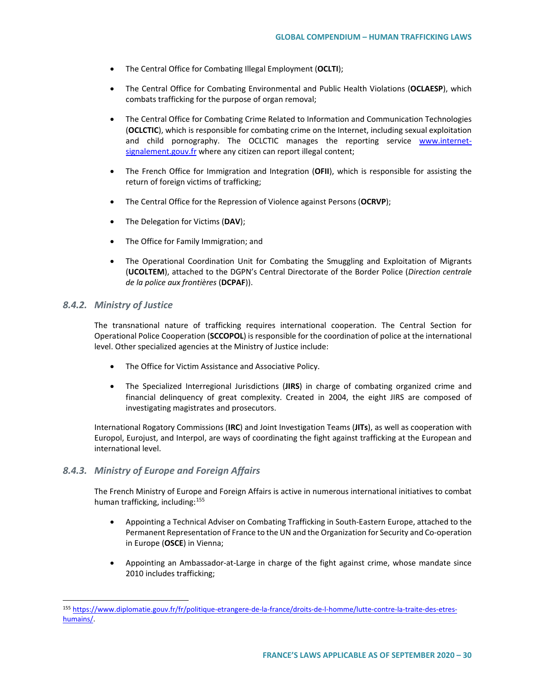- The Central Office for Combating Illegal Employment (**OCLTI**);
- The Central Office for Combating Environmental and Public Health Violations (**OCLAESP**), which combats trafficking for the purpose of organ removal;
- The Central Office for Combating Crime Related to Information and Communication Technologies (**OCLCTIC**), which is responsible for combating crime on the Internet, including sexual exploitation and child pornography. The OCLCTIC manages the reporting service www.internetsignalement.gouv.fr where any citizen can report illegal content;
- The French Office for Immigration and Integration (**OFII**), which is responsible for assisting the return of foreign victims of trafficking;
- The Central Office for the Repression of Violence against Persons (**OCRVP**);
- The Delegation for Victims (**DAV**);
- The Office for Family Immigration; and
- The Operational Coordination Unit for Combating the Smuggling and Exploitation of Migrants (**UCOLTEM**), attached to the DGPN's Central Directorate of the Border Police (*Direction centrale de la police aux frontières* (**DCPAF**)).

### *8.4.2. Ministry of Justice*

The transnational nature of trafficking requires international cooperation. The Central Section for Operational Police Cooperation (**SCCOPOL**) is responsible for the coordination of police at the international level. Other specialized agencies at the Ministry of Justice include:

- The Office for Victim Assistance and Associative Policy.
- The Specialized Interregional Jurisdictions (**JIRS**) in charge of combating organized crime and financial delinquency of great complexity. Created in 2004, the eight JIRS are composed of investigating magistrates and prosecutors.

International Rogatory Commissions (**IRC**) and Joint Investigation Teams (**JITs**), as well as cooperation with Europol, Eurojust, and Interpol, are ways of coordinating the fight against trafficking at the European and international level.

### *8.4.3. Ministry of Europe and Foreign Affairs*

The French Ministry of Europe and Foreign Affairs is active in numerous international initiatives to combat human trafficking, including:<sup>[155](#page-29-0)</sup>

- Appointing a Technical Adviser on Combating Trafficking in South-Eastern Europe, attached to the Permanent Representation of France to the UN and the Organization for Security and Co-operation in Europe (**OSCE**) in Vienna;
- Appointing an Ambassador-at-Large in charge of the fight against crime, whose mandate since 2010 includes trafficking;

<span id="page-29-0"></span> <sup>155</sup> [https://www.diplomatie.gouv.fr/fr/politique-etrangere-de-la-france/droits-de-l-homme/lutte-contre-la-traite-des-etres](https://www.diplomatie.gouv.fr/fr/politique-etrangere-de-la-france/droits-de-l-homme/lutte-contre-la-traite-des-etres-humains/)[humains/.](https://www.diplomatie.gouv.fr/fr/politique-etrangere-de-la-france/droits-de-l-homme/lutte-contre-la-traite-des-etres-humains/)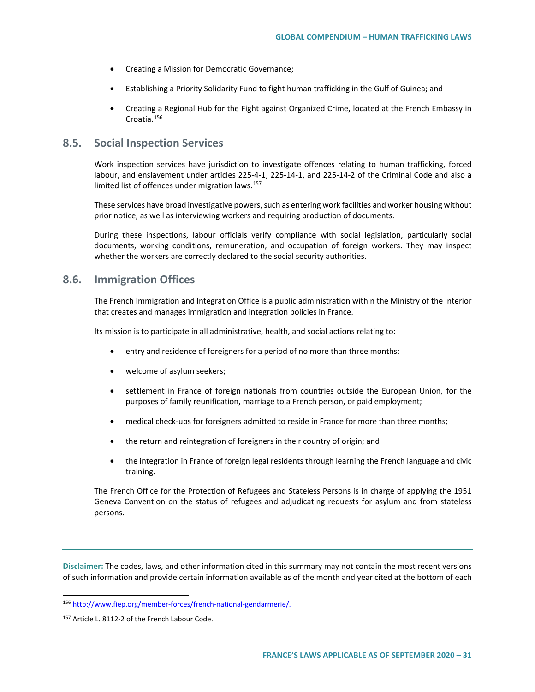- Creating a Mission for Democratic Governance;
- Establishing a Priority Solidarity Fund to fight human trafficking in the Gulf of Guinea; and
- Creating a Regional Hub for the Fight against Organized Crime, located at the French Embassy in Croatia.[156](#page-30-0)

### **8.5. Social Inspection Services**

Work inspection services have jurisdiction to investigate offences relating to human trafficking, forced labour, and enslavement under articles 225-4-1, 225-14-1, and 225-14-2 of the Criminal Code and also a limited list of offences under migration laws.<sup>[157](#page-30-1)</sup>

These services have broad investigative powers, such as entering work facilities and worker housing without prior notice, as well as interviewing workers and requiring production of documents.

During these inspections, labour officials verify compliance with social legislation, particularly social documents, working conditions, remuneration, and occupation of foreign workers. They may inspect whether the workers are correctly declared to the social security authorities.

### **8.6. Immigration Offices**

The French Immigration and Integration Office is a public administration within the Ministry of the Interior that creates and manages immigration and integration policies in France.

Its mission is to participate in all administrative, health, and social actions relating to:

- entry and residence of foreigners for a period of no more than three months;
- welcome of asylum seekers;
- settlement in France of foreign nationals from countries outside the European Union, for the purposes of family reunification, marriage to a French person, or paid employment;
- medical check-ups for foreigners admitted to reside in France for more than three months;
- the return and reintegration of foreigners in their country of origin; and
- the integration in France of foreign legal residents through learning the French language and civic training.

The French Office for the Protection of Refugees and Stateless Persons is in charge of applying the 1951 Geneva Convention on the status of refugees and adjudicating requests for asylum and from stateless persons.

**Disclaimer:** The codes, laws, and other information cited in this summary may not contain the most recent versions of such information and provide certain information available as of the month and year cited at the bottom of each

<span id="page-30-0"></span> <sup>156</sup> [http://www.fiep.org/member-forces/french-national-gendarmerie/.](http://www.fiep.org/member-forces/french-national-gendarmerie/)

<span id="page-30-1"></span><sup>157</sup> Article L. 8112-2 of the French Labour Code.